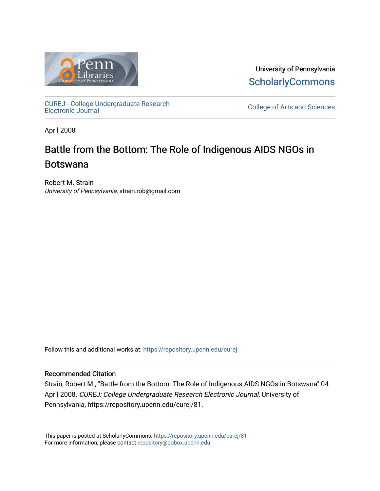

University of Pennsylvania **ScholarlyCommons** 

[CUREJ - College Undergraduate Research](https://repository.upenn.edu/curej) 

College of Arts and Sciences

April 2008

# Battle from the Bottom: The Role of Indigenous AIDS NGOs in Botswana

Robert M. Strain University of Pennsylvania, strain.rob@gmail.com

Follow this and additional works at: [https://repository.upenn.edu/curej](https://repository.upenn.edu/curej?utm_source=repository.upenn.edu%2Fcurej%2F81&utm_medium=PDF&utm_campaign=PDFCoverPages)

### Recommended Citation

Strain, Robert M., "Battle from the Bottom: The Role of Indigenous AIDS NGOs in Botswana" 04 April 2008. CUREJ: College Undergraduate Research Electronic Journal, University of Pennsylvania, https://repository.upenn.edu/curej/81.

This paper is posted at ScholarlyCommons.<https://repository.upenn.edu/curej/81> For more information, please contact [repository@pobox.upenn.edu.](mailto:repository@pobox.upenn.edu)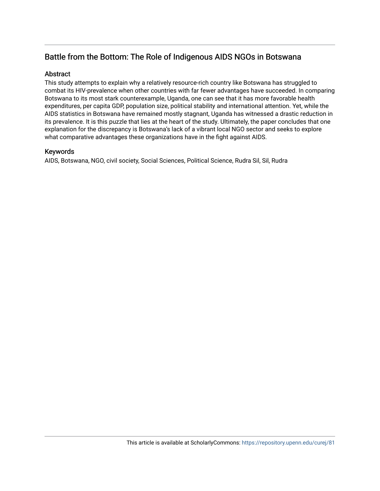# Battle from the Bottom: The Role of Indigenous AIDS NGOs in Botswana

### Abstract

This study attempts to explain why a relatively resource-rich country like Botswana has struggled to combat its HIV-prevalence when other countries with far fewer advantages have succeeded. In comparing Botswana to its most stark counterexample, Uganda, one can see that it has more favorable health expenditures, per capita GDP, population size, political stability and international attention. Yet, while the AIDS statistics in Botswana have remained mostly stagnant, Uganda has witnessed a drastic reduction in its prevalence. It is this puzzle that lies at the heart of the study. Ultimately, the paper concludes that one explanation for the discrepancy is Botswana's lack of a vibrant local NGO sector and seeks to explore what comparative advantages these organizations have in the fight against AIDS.

### Keywords

AIDS, Botswana, NGO, civil society, Social Sciences, Political Science, Rudra Sil, Sil, Rudra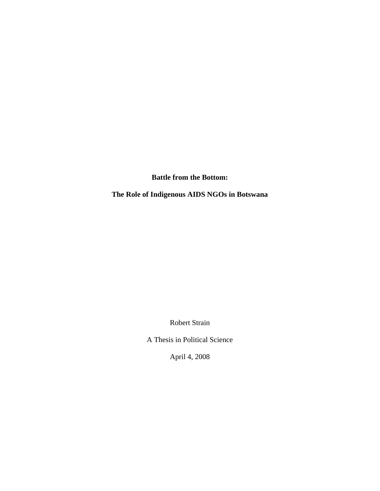**Battle from the Bottom:**

**The Role of Indigenous AIDS NGOs in Botswana**

Robert Strain

A Thesis in Political Science

April 4, 2008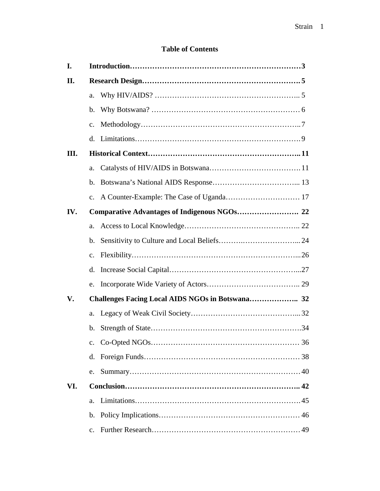# **Table of Contents**

| I.  |                |                                                  |  |  |
|-----|----------------|--------------------------------------------------|--|--|
| II. |                |                                                  |  |  |
|     | a.             |                                                  |  |  |
|     | b.             |                                                  |  |  |
|     | $\mathbf{C}$ . |                                                  |  |  |
|     | d.             |                                                  |  |  |
| Ш.  |                |                                                  |  |  |
|     | a.             |                                                  |  |  |
|     | b.             |                                                  |  |  |
|     | $\mathbf{c}$ . |                                                  |  |  |
| IV. |                |                                                  |  |  |
|     | a.             |                                                  |  |  |
|     | b.             |                                                  |  |  |
|     | $\mathbf{c}$ . |                                                  |  |  |
|     | d.             |                                                  |  |  |
|     | e.             |                                                  |  |  |
| V.  |                | Challenges Facing Local AIDS NGOs in Botswana 32 |  |  |
|     | a.             |                                                  |  |  |
|     | b.             |                                                  |  |  |
|     | $\mathbf{c}$ . |                                                  |  |  |
|     | d.             |                                                  |  |  |
|     | e.             |                                                  |  |  |
| VI. |                |                                                  |  |  |
|     | a.             |                                                  |  |  |
|     | b.             |                                                  |  |  |
|     | $\mathbf{c}$ . |                                                  |  |  |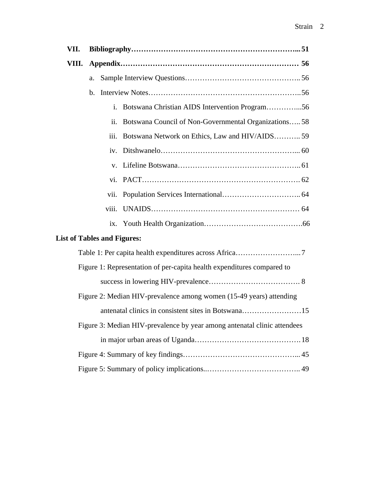| VII.                                                                     |                                                                  |  |  |  |  |  |  |
|--------------------------------------------------------------------------|------------------------------------------------------------------|--|--|--|--|--|--|
| VIII.                                                                    |                                                                  |  |  |  |  |  |  |
|                                                                          | a.                                                               |  |  |  |  |  |  |
|                                                                          |                                                                  |  |  |  |  |  |  |
|                                                                          | Botswana Christian AIDS Intervention Program56<br>$\mathbf{i}$ . |  |  |  |  |  |  |
|                                                                          | Botswana Council of Non-Governmental Organizations 58<br>ii.     |  |  |  |  |  |  |
|                                                                          | Botswana Network on Ethics, Law and HIV/AIDS 59<br>iii.          |  |  |  |  |  |  |
|                                                                          | iv.                                                              |  |  |  |  |  |  |
|                                                                          | $V_{\cdot}$                                                      |  |  |  |  |  |  |
|                                                                          |                                                                  |  |  |  |  |  |  |
|                                                                          | vii.                                                             |  |  |  |  |  |  |
|                                                                          |                                                                  |  |  |  |  |  |  |
|                                                                          |                                                                  |  |  |  |  |  |  |
| <b>List of Tables and Figures:</b>                                       |                                                                  |  |  |  |  |  |  |
|                                                                          |                                                                  |  |  |  |  |  |  |
| Figure 1: Representation of per-capita health expenditures compared to   |                                                                  |  |  |  |  |  |  |
|                                                                          |                                                                  |  |  |  |  |  |  |
| Figure 2: Median HIV-prevalence among women (15-49 years) attending      |                                                                  |  |  |  |  |  |  |
|                                                                          | antenatal clinics in consistent sites in Botswana15              |  |  |  |  |  |  |
| Figure 3: Median HIV-prevalence by year among antenatal clinic attendees |                                                                  |  |  |  |  |  |  |
|                                                                          |                                                                  |  |  |  |  |  |  |
|                                                                          |                                                                  |  |  |  |  |  |  |
|                                                                          |                                                                  |  |  |  |  |  |  |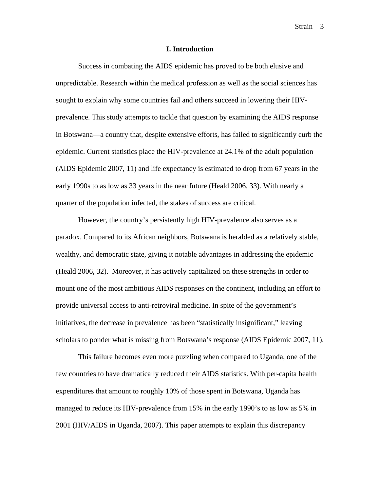Strain<sub>3</sub>

#### **I. Introduction**

Success in combating the AIDS epidemic has proved to be both elusive and unpredictable. Research within the medical profession as well as the social sciences has sought to explain why some countries fail and others succeed in lowering their HIVprevalence. This study attempts to tackle that question by examining the AIDS response in Botswana—a country that, despite extensive efforts, has failed to significantly curb the epidemic. Current statistics place the HIV-prevalence at 24.1% of the adult population (AIDS Epidemic 2007, 11) and life expectancy is estimated to drop from 67 years in the early 1990s to as low as 33 years in the near future (Heald 2006, 33). With nearly a quarter of the population infected, the stakes of success are critical.

However, the country's persistently high HIV-prevalence also serves as a paradox. Compared to its African neighbors, Botswana is heralded as a relatively stable, wealthy, and democratic state, giving it notable advantages in addressing the epidemic (Heald 2006, 32). Moreover, it has actively capitalized on these strengths in order to mount one of the most ambitious AIDS responses on the continent, including an effort to provide universal access to anti-retroviral medicine. In spite of the government's initiatives, the decrease in prevalence has been "statistically insignificant," leaving scholars to ponder what is missing from Botswana's response (AIDS Epidemic 2007, 11).

This failure becomes even more puzzling when compared to Uganda, one of the few countries to have dramatically reduced their AIDS statistics. With per-capita health expenditures that amount to roughly 10% of those spent in Botswana, Uganda has managed to reduce its HIV-prevalence from 15% in the early 1990's to as low as 5% in 2001 (HIV/AIDS in Uganda, 2007). This paper attempts to explain this discrepancy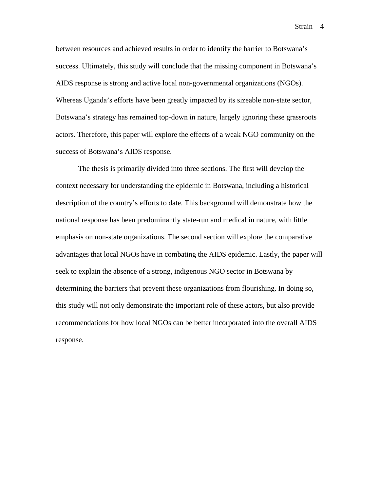Strain<sub>4</sub>

between resources and achieved results in order to identify the barrier to Botswana's success. Ultimately, this study will conclude that the missing component in Botswana's AIDS response is strong and active local non-governmental organizations (NGOs). Whereas Uganda's efforts have been greatly impacted by its sizeable non-state sector, Botswana's strategy has remained top-down in nature, largely ignoring these grassroots actors. Therefore, this paper will explore the effects of a weak NGO community on the success of Botswana's AIDS response.

The thesis is primarily divided into three sections. The first will develop the context necessary for understanding the epidemic in Botswana, including a historical description of the country's efforts to date. This background will demonstrate how the national response has been predominantly state-run and medical in nature, with little emphasis on non-state organizations. The second section will explore the comparative advantages that local NGOs have in combating the AIDS epidemic. Lastly, the paper will seek to explain the absence of a strong, indigenous NGO sector in Botswana by determining the barriers that prevent these organizations from flourishing. In doing so, this study will not only demonstrate the important role of these actors, but also provide recommendations for how local NGOs can be better incorporated into the overall AIDS response.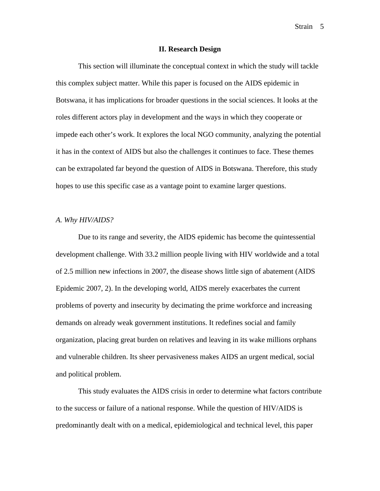Strain<sub>5</sub>

#### **II. Research Design**

This section will illuminate the conceptual context in which the study will tackle this complex subject matter. While this paper is focused on the AIDS epidemic in Botswana, it has implications for broader questions in the social sciences. It looks at the roles different actors play in development and the ways in which they cooperate or impede each other's work. It explores the local NGO community, analyzing the potential it has in the context of AIDS but also the challenges it continues to face. These themes can be extrapolated far beyond the question of AIDS in Botswana. Therefore, this study hopes to use this specific case as a vantage point to examine larger questions.

#### *A. Why HIV/AIDS?*

Due to its range and severity, the AIDS epidemic has become the quintessential development challenge. With 33.2 million people living with HIV worldwide and a total of 2.5 million new infections in 2007, the disease shows little sign of abatement (AIDS Epidemic 2007, 2). In the developing world, AIDS merely exacerbates the current problems of poverty and insecurity by decimating the prime workforce and increasing demands on already weak government institutions. It redefines social and family organization, placing great burden on relatives and leaving in its wake millions orphans and vulnerable children. Its sheer pervasiveness makes AIDS an urgent medical, social and political problem.

This study evaluates the AIDS crisis in order to determine what factors contribute to the success or failure of a national response. While the question of HIV/AIDS is predominantly dealt with on a medical, epidemiological and technical level, this paper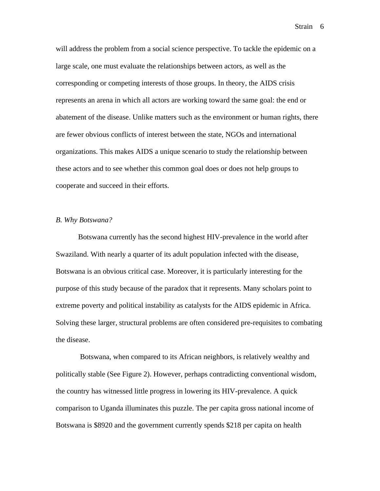will address the problem from a social science perspective. To tackle the epidemic on a large scale, one must evaluate the relationships between actors, as well as the corresponding or competing interests of those groups. In theory, the AIDS crisis represents an arena in which all actors are working toward the same goal: the end or abatement of the disease. Unlike matters such as the environment or human rights, there are fewer obvious conflicts of interest between the state, NGOs and international organizations. This makes AIDS a unique scenario to study the relationship between these actors and to see whether this common goal does or does not help groups to cooperate and succeed in their efforts.

#### *B. Why Botswana?*

Botswana currently has the second highest HIV-prevalence in the world after Swaziland. With nearly a quarter of its adult population infected with the disease, Botswana is an obvious critical case. Moreover, it is particularly interesting for the purpose of this study because of the paradox that it represents. Many scholars point to extreme poverty and political instability as catalysts for the AIDS epidemic in Africa. Solving these larger, structural problems are often considered pre-requisites to combating the disease.

 Botswana, when compared to its African neighbors, is relatively wealthy and politically stable (See Figure 2). However, perhaps contradicting conventional wisdom, the country has witnessed little progress in lowering its HIV-prevalence. A quick comparison to Uganda illuminates this puzzle. The per capita gross national income of Botswana is \$8920 and the government currently spends \$218 per capita on health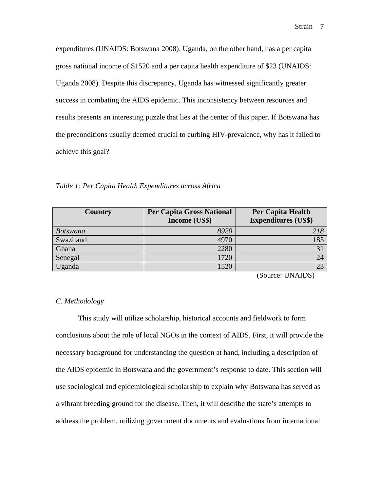expenditures (UNAIDS: Botswana 2008). Uganda, on the other hand, has a per capita gross national income of \$1520 and a per capita health expenditure of \$23 (UNAIDS: Uganda 2008). Despite this discrepancy, Uganda has witnessed significantly greater success in combating the AIDS epidemic. This inconsistency between resources and results presents an interesting puzzle that lies at the center of this paper. If Botswana has the preconditions usually deemed crucial to curbing HIV-prevalence, why has it failed to achieve this goal?

*Table 1: Per Capita Health Expenditures across Africa* 

| Country         | <b>Per Capita Gross National</b><br>Income (US\$) | <b>Per Capita Health</b><br><b>Expenditures (US\$)</b> |
|-----------------|---------------------------------------------------|--------------------------------------------------------|
| <b>Botswana</b> | 8920                                              | 218                                                    |
| Swaziland       | 4970                                              | 185                                                    |
| Ghana           | 2280                                              | $\mathbf{R}^{\prime}$                                  |
| Senegal         | 1720                                              |                                                        |
| Uganda          |                                                   |                                                        |

(Source: UNAIDS)

#### *C. Methodology*

This study will utilize scholarship, historical accounts and fieldwork to form conclusions about the role of local NGOs in the context of AIDS. First, it will provide the necessary background for understanding the question at hand, including a description of the AIDS epidemic in Botswana and the government's response to date. This section will use sociological and epidemiological scholarship to explain why Botswana has served as a vibrant breeding ground for the disease. Then, it will describe the state's attempts to address the problem, utilizing government documents and evaluations from international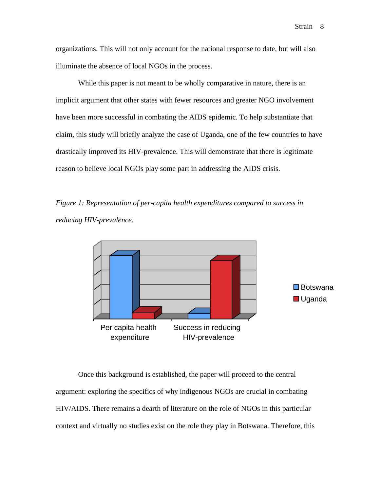organizations. This will not only account for the national response to date, but will also illuminate the absence of local NGOs in the process.

While this paper is not meant to be wholly comparative in nature, there is an implicit argument that other states with fewer resources and greater NGO involvement have been more successful in combating the AIDS epidemic. To help substantiate that claim, this study will briefly analyze the case of Uganda, one of the few countries to have drastically improved its HIV-prevalence. This will demonstrate that there is legitimate reason to believe local NGOs play some part in addressing the AIDS crisis.

*Figure 1: Representation of per-capita health expenditures compared to success in reducing HIV-prevalence.* 



Once this background is established, the paper will proceed to the central argument: exploring the specifics of why indigenous NGOs are crucial in combating HIV/AIDS. There remains a dearth of literature on the role of NGOs in this particular context and virtually no studies exist on the role they play in Botswana. Therefore, this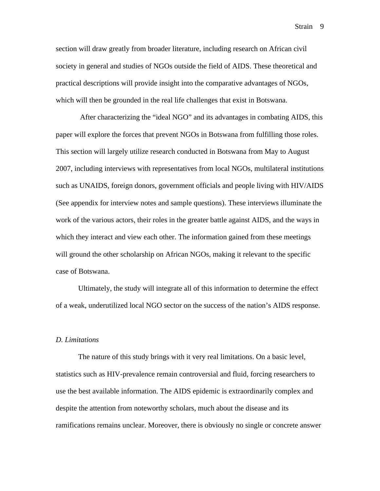Strain<sub>9</sub>

section will draw greatly from broader literature, including research on African civil society in general and studies of NGOs outside the field of AIDS. These theoretical and practical descriptions will provide insight into the comparative advantages of NGOs, which will then be grounded in the real life challenges that exist in Botswana.

 After characterizing the "ideal NGO" and its advantages in combating AIDS, this paper will explore the forces that prevent NGOs in Botswana from fulfilling those roles. This section will largely utilize research conducted in Botswana from May to August 2007, including interviews with representatives from local NGOs, multilateral institutions such as UNAIDS, foreign donors, government officials and people living with HIV/AIDS (See appendix for interview notes and sample questions). These interviews illuminate the work of the various actors, their roles in the greater battle against AIDS, and the ways in which they interact and view each other. The information gained from these meetings will ground the other scholarship on African NGOs, making it relevant to the specific case of Botswana.

Ultimately, the study will integrate all of this information to determine the effect of a weak, underutilized local NGO sector on the success of the nation's AIDS response.

#### *D. Limitations*

The nature of this study brings with it very real limitations. On a basic level, statistics such as HIV-prevalence remain controversial and fluid, forcing researchers to use the best available information. The AIDS epidemic is extraordinarily complex and despite the attention from noteworthy scholars, much about the disease and its ramifications remains unclear. Moreover, there is obviously no single or concrete answer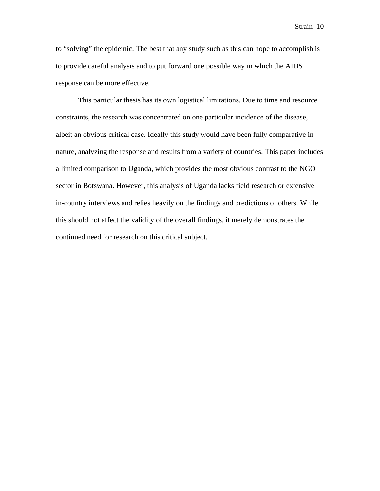to "solving" the epidemic. The best that any study such as this can hope to accomplish is to provide careful analysis and to put forward one possible way in which the AIDS response can be more effective.

This particular thesis has its own logistical limitations. Due to time and resource constraints, the research was concentrated on one particular incidence of the disease, albeit an obvious critical case. Ideally this study would have been fully comparative in nature, analyzing the response and results from a variety of countries. This paper includes a limited comparison to Uganda, which provides the most obvious contrast to the NGO sector in Botswana. However, this analysis of Uganda lacks field research or extensive in-country interviews and relies heavily on the findings and predictions of others. While this should not affect the validity of the overall findings, it merely demonstrates the continued need for research on this critical subject.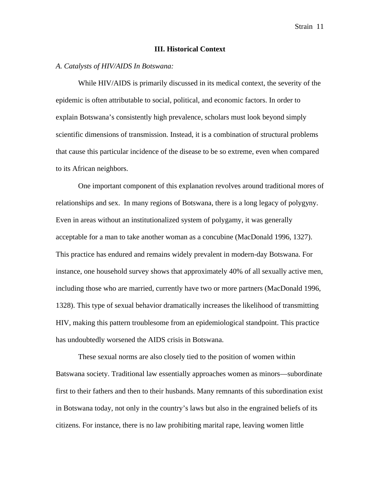#### **III. Historical Context**

#### *A. Catalysts of HIV/AIDS In Botswana:*

While HIV/AIDS is primarily discussed in its medical context, the severity of the epidemic is often attributable to social, political, and economic factors. In order to explain Botswana's consistently high prevalence, scholars must look beyond simply scientific dimensions of transmission. Instead, it is a combination of structural problems that cause this particular incidence of the disease to be so extreme, even when compared to its African neighbors.

One important component of this explanation revolves around traditional mores of relationships and sex. In many regions of Botswana, there is a long legacy of polygyny. Even in areas without an institutionalized system of polygamy, it was generally acceptable for a man to take another woman as a concubine (MacDonald 1996, 1327). This practice has endured and remains widely prevalent in modern-day Botswana. For instance, one household survey shows that approximately 40% of all sexually active men, including those who are married, currently have two or more partners (MacDonald 1996, 1328). This type of sexual behavior dramatically increases the likelihood of transmitting HIV, making this pattern troublesome from an epidemiological standpoint. This practice has undoubtedly worsened the AIDS crisis in Botswana.

These sexual norms are also closely tied to the position of women within Batswana society. Traditional law essentially approaches women as minors—subordinate first to their fathers and then to their husbands. Many remnants of this subordination exist in Botswana today, not only in the country's laws but also in the engrained beliefs of its citizens. For instance, there is no law prohibiting marital rape, leaving women little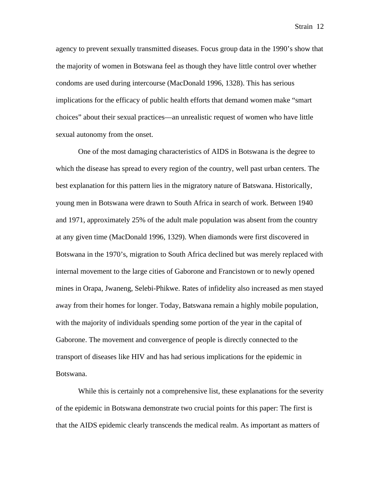agency to prevent sexually transmitted diseases. Focus group data in the 1990's show that the majority of women in Botswana feel as though they have little control over whether condoms are used during intercourse (MacDonald 1996, 1328). This has serious implications for the efficacy of public health efforts that demand women make "smart choices" about their sexual practices—an unrealistic request of women who have little sexual autonomy from the onset.

One of the most damaging characteristics of AIDS in Botswana is the degree to which the disease has spread to every region of the country, well past urban centers. The best explanation for this pattern lies in the migratory nature of Batswana. Historically, young men in Botswana were drawn to South Africa in search of work. Between 1940 and 1971, approximately 25% of the adult male population was absent from the country at any given time (MacDonald 1996, 1329). When diamonds were first discovered in Botswana in the 1970's, migration to South Africa declined but was merely replaced with internal movement to the large cities of Gaborone and Francistown or to newly opened mines in Orapa, Jwaneng, Selebi-Phikwe. Rates of infidelity also increased as men stayed away from their homes for longer. Today, Batswana remain a highly mobile population, with the majority of individuals spending some portion of the year in the capital of Gaborone. The movement and convergence of people is directly connected to the transport of diseases like HIV and has had serious implications for the epidemic in Botswana.

While this is certainly not a comprehensive list, these explanations for the severity of the epidemic in Botswana demonstrate two crucial points for this paper: The first is that the AIDS epidemic clearly transcends the medical realm. As important as matters of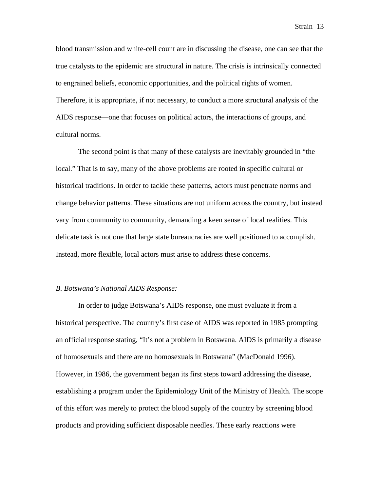blood transmission and white-cell count are in discussing the disease, one can see that the true catalysts to the epidemic are structural in nature. The crisis is intrinsically connected to engrained beliefs, economic opportunities, and the political rights of women. Therefore, it is appropriate, if not necessary, to conduct a more structural analysis of the

AIDS response—one that focuses on political actors, the interactions of groups, and cultural norms.

The second point is that many of these catalysts are inevitably grounded in "the local." That is to say, many of the above problems are rooted in specific cultural or historical traditions. In order to tackle these patterns, actors must penetrate norms and change behavior patterns. These situations are not uniform across the country, but instead vary from community to community, demanding a keen sense of local realities. This delicate task is not one that large state bureaucracies are well positioned to accomplish. Instead, more flexible, local actors must arise to address these concerns.

#### *B. Botswana's National AIDS Response:*

In order to judge Botswana's AIDS response, one must evaluate it from a historical perspective. The country's first case of AIDS was reported in 1985 prompting an official response stating, "It's not a problem in Botswana. AIDS is primarily a disease of homosexuals and there are no homosexuals in Botswana" (MacDonald 1996). However, in 1986, the government began its first steps toward addressing the disease, establishing a program under the Epidemiology Unit of the Ministry of Health. The scope of this effort was merely to protect the blood supply of the country by screening blood products and providing sufficient disposable needles. These early reactions were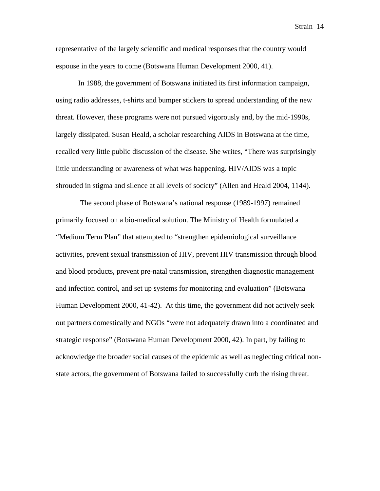representative of the largely scientific and medical responses that the country would espouse in the years to come (Botswana Human Development 2000, 41).

In 1988, the government of Botswana initiated its first information campaign, using radio addresses, t-shirts and bumper stickers to spread understanding of the new threat. However, these programs were not pursued vigorously and, by the mid-1990s, largely dissipated. Susan Heald, a scholar researching AIDS in Botswana at the time, recalled very little public discussion of the disease. She writes, "There was surprisingly little understanding or awareness of what was happening. HIV/AIDS was a topic shrouded in stigma and silence at all levels of society" (Allen and Heald 2004, 1144).

 The second phase of Botswana's national response (1989-1997) remained primarily focused on a bio-medical solution. The Ministry of Health formulated a "Medium Term Plan" that attempted to "strengthen epidemiological surveillance activities, prevent sexual transmission of HIV, prevent HIV transmission through blood and blood products, prevent pre-natal transmission, strengthen diagnostic management and infection control, and set up systems for monitoring and evaluation" (Botswana Human Development 2000, 41-42). At this time, the government did not actively seek out partners domestically and NGOs "were not adequately drawn into a coordinated and strategic response" (Botswana Human Development 2000, 42). In part, by failing to acknowledge the broader social causes of the epidemic as well as neglecting critical nonstate actors, the government of Botswana failed to successfully curb the rising threat.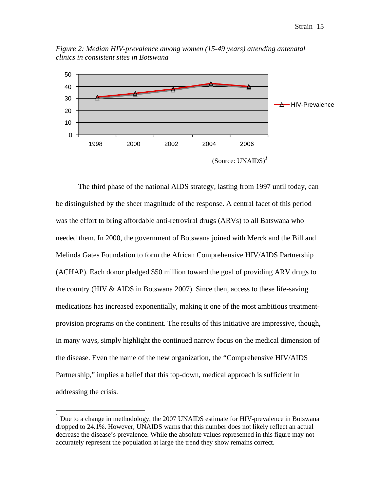*Figure 2: Median HIV-prevalence among women (15-49 years) attending antenatal clinics in consistent sites in Botswana*



The third phase of the national AIDS strategy, lasting from 1997 until today, can be distinguished by the sheer magnitude of the response. A central facet of this period was the effort to bring affordable anti-retroviral drugs (ARVs) to all Batswana who needed them. In 2000, the government of Botswana joined with Merck and the Bill and Melinda Gates Foundation to form the African Comprehensive HIV/AIDS Partnership (ACHAP). Each donor pledged \$50 million toward the goal of providing ARV drugs to the country (HIV & AIDS in Botswana 2007). Since then, access to these life-saving medications has increased exponentially, making it one of the most ambitious treatmentprovision programs on the continent. The results of this initiative are impressive, though, in many ways, simply highlight the continued narrow focus on the medical dimension of the disease. Even the name of the new organization, the "Comprehensive HIV/AIDS Partnership," implies a belief that this top-down, medical approach is sufficient in addressing the crisis.

 $\overline{a}$ 

 $1$  Due to a change in methodology, the 2007 UNAIDS estimate for HIV-prevalence in Botswana dropped to 24.1%. However, UNAIDS warns that this number does not likely reflect an actual decrease the disease's prevalence. While the absolute values represented in this figure may not accurately represent the population at large the trend they show remains correct.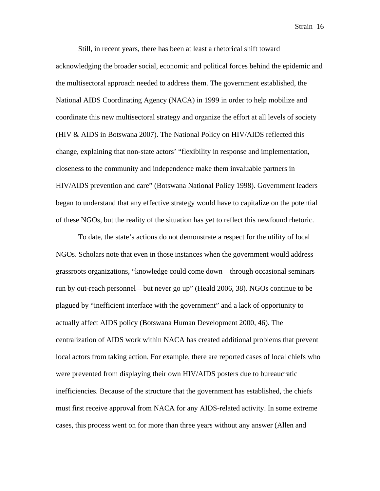Still, in recent years, there has been at least a rhetorical shift toward acknowledging the broader social, economic and political forces behind the epidemic and the multisectoral approach needed to address them. The government established, the National AIDS Coordinating Agency (NACA) in 1999 in order to help mobilize and coordinate this new multisectoral strategy and organize the effort at all levels of society (HIV & AIDS in Botswana 2007). The National Policy on HIV/AIDS reflected this change, explaining that non-state actors' "flexibility in response and implementation, closeness to the community and independence make them invaluable partners in HIV/AIDS prevention and care" (Botswana National Policy 1998). Government leaders began to understand that any effective strategy would have to capitalize on the potential of these NGOs, but the reality of the situation has yet to reflect this newfound rhetoric.

To date, the state's actions do not demonstrate a respect for the utility of local NGOs. Scholars note that even in those instances when the government would address grassroots organizations, "knowledge could come down—through occasional seminars run by out-reach personnel—but never go up" (Heald 2006, 38). NGOs continue to be plagued by "inefficient interface with the government" and a lack of opportunity to actually affect AIDS policy (Botswana Human Development 2000, 46). The centralization of AIDS work within NACA has created additional problems that prevent local actors from taking action. For example, there are reported cases of local chiefs who were prevented from displaying their own HIV/AIDS posters due to bureaucratic inefficiencies. Because of the structure that the government has established, the chiefs must first receive approval from NACA for any AIDS-related activity. In some extreme cases, this process went on for more than three years without any answer (Allen and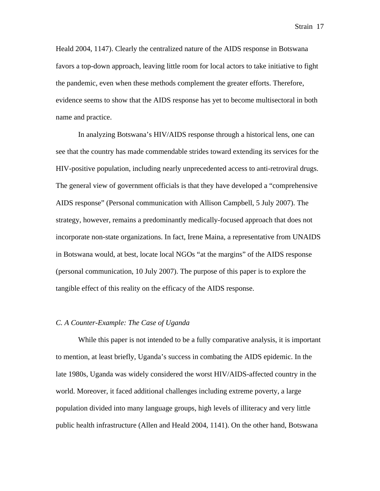Heald 2004, 1147). Clearly the centralized nature of the AIDS response in Botswana favors a top-down approach, leaving little room for local actors to take initiative to fight the pandemic, even when these methods complement the greater efforts. Therefore, evidence seems to show that the AIDS response has yet to become multisectoral in both name and practice.

In analyzing Botswana's HIV/AIDS response through a historical lens, one can see that the country has made commendable strides toward extending its services for the HIV-positive population, including nearly unprecedented access to anti-retroviral drugs. The general view of government officials is that they have developed a "comprehensive AIDS response" (Personal communication with Allison Campbell, 5 July 2007). The strategy, however, remains a predominantly medically-focused approach that does not incorporate non-state organizations. In fact, Irene Maina, a representative from UNAIDS in Botswana would, at best, locate local NGOs "at the margins" of the AIDS response (personal communication, 10 July 2007). The purpose of this paper is to explore the tangible effect of this reality on the efficacy of the AIDS response.

#### *C. A Counter-Example: The Case of Uganda*

While this paper is not intended to be a fully comparative analysis, it is important to mention, at least briefly, Uganda's success in combating the AIDS epidemic. In the late 1980s, Uganda was widely considered the worst HIV/AIDS-affected country in the world. Moreover, it faced additional challenges including extreme poverty, a large population divided into many language groups, high levels of illiteracy and very little public health infrastructure (Allen and Heald 2004, 1141). On the other hand, Botswana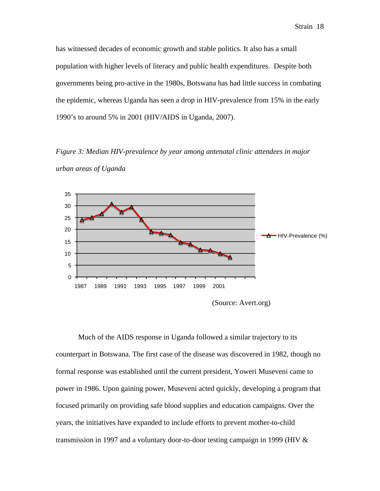has witnessed decades of economic growth and stable politics. It also has a small population with higher levels of literacy and public health expenditures. Despite both governments being pro-active in the 1980s, Botswana has had little success in combating the epidemic, whereas Uganda has seen a drop in HIV-prevalence from 15% in the early 1990's to around 5% in 2001 (HIV/AIDS in Uganda, 2007).

*Figure 3: Median HIV-prevalence by year among antenatal clinic attendees in major urban areas of Uganda*



(Source: Avert.org)

Much of the AIDS response in Uganda followed a similar trajectory to its counterpart in Botswana. The first case of the disease was discovered in 1982, though no formal response was established until the current president, Yoweri Museveni came to power in 1986. Upon gaining power, Museveni acted quickly, developing a program that focused primarily on providing safe blood supplies and education campaigns. Over the years, the initiatives have expanded to include efforts to prevent mother-to-child transmission in 1997 and a voluntary door-to-door testing campaign in 1999 (HIV &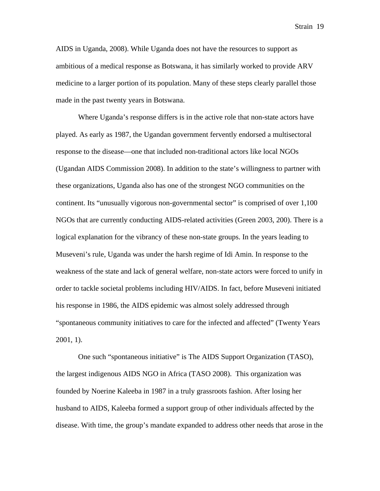AIDS in Uganda, 2008). While Uganda does not have the resources to support as ambitious of a medical response as Botswana, it has similarly worked to provide ARV medicine to a larger portion of its population. Many of these steps clearly parallel those made in the past twenty years in Botswana.

Where Uganda's response differs is in the active role that non-state actors have played. As early as 1987, the Ugandan government fervently endorsed a multisectoral response to the disease—one that included non-traditional actors like local NGOs (Ugandan AIDS Commission 2008). In addition to the state's willingness to partner with these organizations, Uganda also has one of the strongest NGO communities on the continent. Its "unusually vigorous non-governmental sector" is comprised of over 1,100 NGOs that are currently conducting AIDS-related activities (Green 2003, 200). There is a logical explanation for the vibrancy of these non-state groups. In the years leading to Museveni's rule, Uganda was under the harsh regime of Idi Amin. In response to the weakness of the state and lack of general welfare, non-state actors were forced to unify in order to tackle societal problems including HIV/AIDS. In fact, before Museveni initiated his response in 1986, the AIDS epidemic was almost solely addressed through "spontaneous community initiatives to care for the infected and affected" (Twenty Years 2001, 1).

One such "spontaneous initiative" is The AIDS Support Organization (TASO), the largest indigenous AIDS NGO in Africa (TASO 2008). This organization was founded by Noerine Kaleeba in 1987 in a truly grassroots fashion. After losing her husband to AIDS, Kaleeba formed a support group of other individuals affected by the disease. With time, the group's mandate expanded to address other needs that arose in the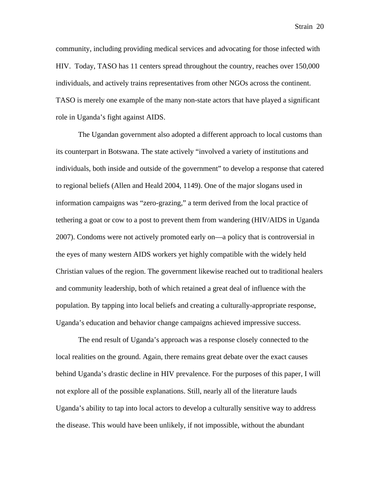community, including providing medical services and advocating for those infected with HIV. Today, TASO has 11 centers spread throughout the country, reaches over 150,000 individuals, and actively trains representatives from other NGOs across the continent. TASO is merely one example of the many non-state actors that have played a significant role in Uganda's fight against AIDS.

The Ugandan government also adopted a different approach to local customs than its counterpart in Botswana. The state actively "involved a variety of institutions and individuals, both inside and outside of the government" to develop a response that catered to regional beliefs (Allen and Heald 2004, 1149). One of the major slogans used in information campaigns was "zero-grazing," a term derived from the local practice of tethering a goat or cow to a post to prevent them from wandering (HIV/AIDS in Uganda 2007). Condoms were not actively promoted early on—a policy that is controversial in the eyes of many western AIDS workers yet highly compatible with the widely held Christian values of the region. The government likewise reached out to traditional healers and community leadership, both of which retained a great deal of influence with the population. By tapping into local beliefs and creating a culturally-appropriate response, Uganda's education and behavior change campaigns achieved impressive success.

The end result of Uganda's approach was a response closely connected to the local realities on the ground. Again, there remains great debate over the exact causes behind Uganda's drastic decline in HIV prevalence. For the purposes of this paper, I will not explore all of the possible explanations. Still, nearly all of the literature lauds Uganda's ability to tap into local actors to develop a culturally sensitive way to address the disease. This would have been unlikely, if not impossible, without the abundant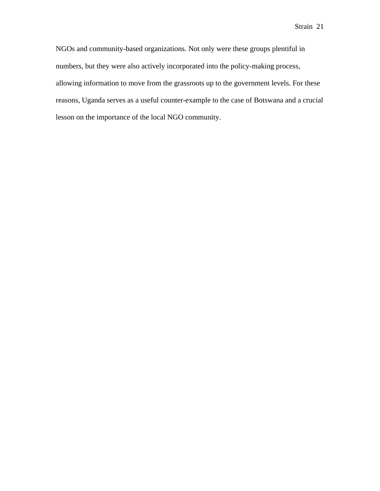NGOs and community-based organizations. Not only were these groups plentiful in numbers, but they were also actively incorporated into the policy-making process, allowing information to move from the grassroots up to the government levels. For these reasons, Uganda serves as a useful counter-example to the case of Botswana and a crucial lesson on the importance of the local NGO community.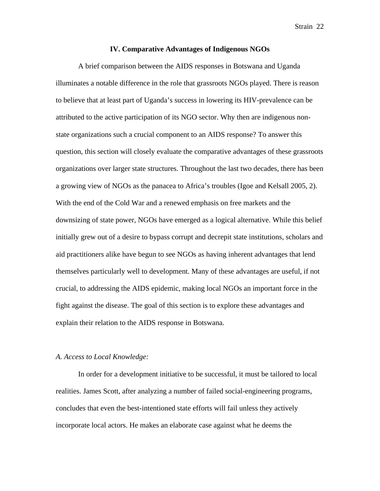#### **IV. Comparative Advantages of Indigenous NGOs**

A brief comparison between the AIDS responses in Botswana and Uganda illuminates a notable difference in the role that grassroots NGOs played. There is reason to believe that at least part of Uganda's success in lowering its HIV-prevalence can be attributed to the active participation of its NGO sector. Why then are indigenous nonstate organizations such a crucial component to an AIDS response? To answer this question, this section will closely evaluate the comparative advantages of these grassroots organizations over larger state structures. Throughout the last two decades, there has been a growing view of NGOs as the panacea to Africa's troubles (Igoe and Kelsall 2005, 2). With the end of the Cold War and a renewed emphasis on free markets and the downsizing of state power, NGOs have emerged as a logical alternative. While this belief initially grew out of a desire to bypass corrupt and decrepit state institutions, scholars and aid practitioners alike have begun to see NGOs as having inherent advantages that lend themselves particularly well to development. Many of these advantages are useful, if not crucial, to addressing the AIDS epidemic, making local NGOs an important force in the fight against the disease. The goal of this section is to explore these advantages and explain their relation to the AIDS response in Botswana.

#### *A. Access to Local Knowledge:*

In order for a development initiative to be successful, it must be tailored to local realities. James Scott, after analyzing a number of failed social-engineering programs, concludes that even the best-intentioned state efforts will fail unless they actively incorporate local actors. He makes an elaborate case against what he deems the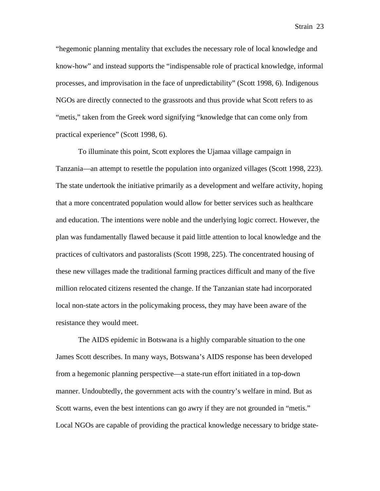"hegemonic planning mentality that excludes the necessary role of local knowledge and know-how" and instead supports the "indispensable role of practical knowledge, informal processes, and improvisation in the face of unpredictability" (Scott 1998, 6). Indigenous NGOs are directly connected to the grassroots and thus provide what Scott refers to as "metis," taken from the Greek word signifying "knowledge that can come only from practical experience" (Scott 1998, 6).

To illuminate this point, Scott explores the Ujamaa village campaign in Tanzania—an attempt to resettle the population into organized villages (Scott 1998, 223). The state undertook the initiative primarily as a development and welfare activity, hoping that a more concentrated population would allow for better services such as healthcare and education. The intentions were noble and the underlying logic correct. However, the plan was fundamentally flawed because it paid little attention to local knowledge and the practices of cultivators and pastoralists (Scott 1998, 225). The concentrated housing of these new villages made the traditional farming practices difficult and many of the five million relocated citizens resented the change. If the Tanzanian state had incorporated local non-state actors in the policymaking process, they may have been aware of the resistance they would meet.

The AIDS epidemic in Botswana is a highly comparable situation to the one James Scott describes. In many ways, Botswana's AIDS response has been developed from a hegemonic planning perspective—a state-run effort initiated in a top-down manner. Undoubtedly, the government acts with the country's welfare in mind. But as Scott warns, even the best intentions can go awry if they are not grounded in "metis." Local NGOs are capable of providing the practical knowledge necessary to bridge state-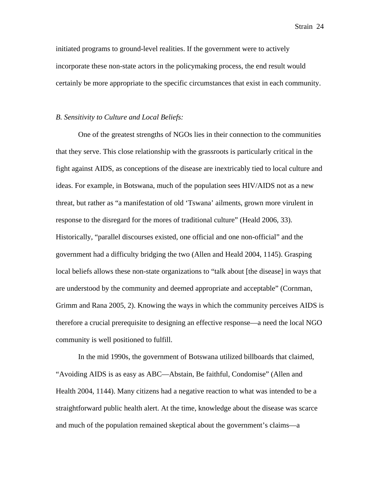initiated programs to ground-level realities. If the government were to actively incorporate these non-state actors in the policymaking process, the end result would certainly be more appropriate to the specific circumstances that exist in each community.

#### *B. Sensitivity to Culture and Local Beliefs:*

One of the greatest strengths of NGOs lies in their connection to the communities that they serve. This close relationship with the grassroots is particularly critical in the fight against AIDS, as conceptions of the disease are inextricably tied to local culture and ideas. For example, in Botswana, much of the population sees HIV/AIDS not as a new threat, but rather as "a manifestation of old 'Tswana' ailments, grown more virulent in response to the disregard for the mores of traditional culture" (Heald 2006, 33). Historically, "parallel discourses existed, one official and one non-official" and the government had a difficulty bridging the two (Allen and Heald 2004, 1145). Grasping local beliefs allows these non-state organizations to "talk about [the disease] in ways that are understood by the community and deemed appropriate and acceptable" (Cornman, Grimm and Rana 2005, 2). Knowing the ways in which the community perceives AIDS is therefore a crucial prerequisite to designing an effective response—a need the local NGO community is well positioned to fulfill.

In the mid 1990s, the government of Botswana utilized billboards that claimed, "Avoiding AIDS is as easy as ABC—Abstain, Be faithful, Condomise" (Allen and Health 2004, 1144). Many citizens had a negative reaction to what was intended to be a straightforward public health alert. At the time, knowledge about the disease was scarce and much of the population remained skeptical about the government's claims—a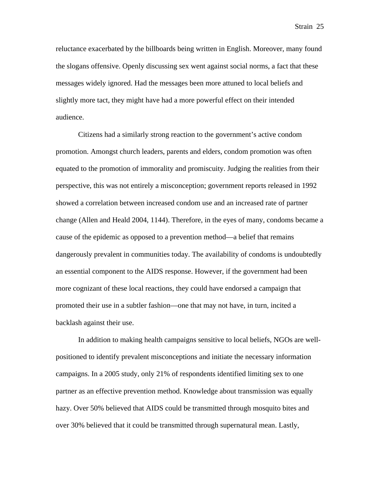reluctance exacerbated by the billboards being written in English. Moreover, many found the slogans offensive. Openly discussing sex went against social norms, a fact that these messages widely ignored. Had the messages been more attuned to local beliefs and slightly more tact, they might have had a more powerful effect on their intended audience.

Citizens had a similarly strong reaction to the government's active condom promotion. Amongst church leaders, parents and elders, condom promotion was often equated to the promotion of immorality and promiscuity. Judging the realities from their perspective, this was not entirely a misconception; government reports released in 1992 showed a correlation between increased condom use and an increased rate of partner change (Allen and Heald 2004, 1144). Therefore, in the eyes of many, condoms became a cause of the epidemic as opposed to a prevention method—a belief that remains dangerously prevalent in communities today. The availability of condoms is undoubtedly an essential component to the AIDS response. However, if the government had been more cognizant of these local reactions, they could have endorsed a campaign that promoted their use in a subtler fashion—one that may not have, in turn, incited a backlash against their use.

In addition to making health campaigns sensitive to local beliefs, NGOs are wellpositioned to identify prevalent misconceptions and initiate the necessary information campaigns. In a 2005 study, only 21% of respondents identified limiting sex to one partner as an effective prevention method. Knowledge about transmission was equally hazy. Over 50% believed that AIDS could be transmitted through mosquito bites and over 30% believed that it could be transmitted through supernatural mean. Lastly,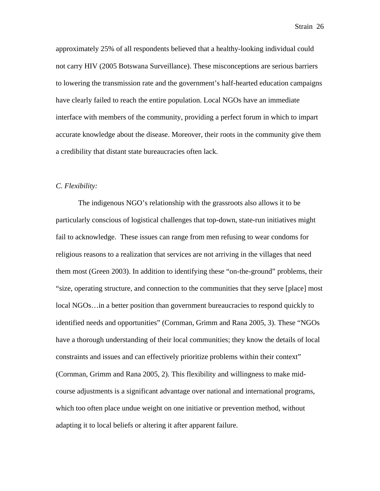approximately 25% of all respondents believed that a healthy-looking individual could not carry HIV (2005 Botswana Surveillance). These misconceptions are serious barriers to lowering the transmission rate and the government's half-hearted education campaigns have clearly failed to reach the entire population. Local NGOs have an immediate interface with members of the community, providing a perfect forum in which to impart accurate knowledge about the disease. Moreover, their roots in the community give them a credibility that distant state bureaucracies often lack.

#### *C. Flexibility:*

The indigenous NGO's relationship with the grassroots also allows it to be particularly conscious of logistical challenges that top-down, state-run initiatives might fail to acknowledge. These issues can range from men refusing to wear condoms for religious reasons to a realization that services are not arriving in the villages that need them most (Green 2003). In addition to identifying these "on-the-ground" problems, their "size, operating structure, and connection to the communities that they serve [place] most local NGOs…in a better position than government bureaucracies to respond quickly to identified needs and opportunities" (Cornman, Grimm and Rana 2005, 3). These "NGOs have a thorough understanding of their local communities; they know the details of local constraints and issues and can effectively prioritize problems within their context" (Cornman, Grimm and Rana 2005, 2). This flexibility and willingness to make midcourse adjustments is a significant advantage over national and international programs, which too often place undue weight on one initiative or prevention method, without adapting it to local beliefs or altering it after apparent failure.

Strain 26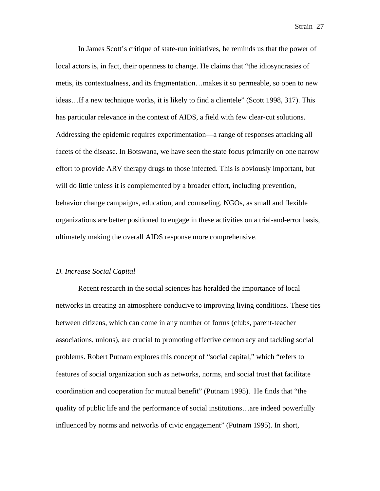In James Scott's critique of state-run initiatives, he reminds us that the power of local actors is, in fact, their openness to change. He claims that "the idiosyncrasies of metis, its contextualness, and its fragmentation…makes it so permeable, so open to new ideas…If a new technique works, it is likely to find a clientele" (Scott 1998, 317). This has particular relevance in the context of AIDS, a field with few clear-cut solutions. Addressing the epidemic requires experimentation—a range of responses attacking all facets of the disease. In Botswana, we have seen the state focus primarily on one narrow effort to provide ARV therapy drugs to those infected. This is obviously important, but will do little unless it is complemented by a broader effort, including prevention, behavior change campaigns, education, and counseling. NGOs, as small and flexible organizations are better positioned to engage in these activities on a trial-and-error basis, ultimately making the overall AIDS response more comprehensive.

#### *D. Increase Social Capital*

Recent research in the social sciences has heralded the importance of local networks in creating an atmosphere conducive to improving living conditions. These ties between citizens, which can come in any number of forms (clubs, parent-teacher associations, unions), are crucial to promoting effective democracy and tackling social problems. Robert Putnam explores this concept of "social capital," which "refers to features of social organization such as networks, norms, and social trust that facilitate coordination and cooperation for mutual benefit" (Putnam 1995). He finds that "the quality of public life and the performance of social institutions…are indeed powerfully influenced by norms and networks of civic engagement" (Putnam 1995). In short,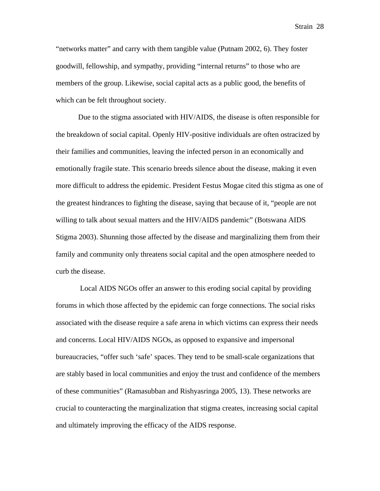"networks matter" and carry with them tangible value (Putnam 2002, 6). They foster goodwill, fellowship, and sympathy, providing "internal returns" to those who are members of the group. Likewise, social capital acts as a public good, the benefits of which can be felt throughout society.

Due to the stigma associated with HIV/AIDS, the disease is often responsible for the breakdown of social capital. Openly HIV-positive individuals are often ostracized by their families and communities, leaving the infected person in an economically and emotionally fragile state. This scenario breeds silence about the disease, making it even more difficult to address the epidemic. President Festus Mogae cited this stigma as one of the greatest hindrances to fighting the disease, saying that because of it, "people are not willing to talk about sexual matters and the HIV/AIDS pandemic" (Botswana AIDS Stigma 2003). Shunning those affected by the disease and marginalizing them from their family and community only threatens social capital and the open atmosphere needed to curb the disease.

 Local AIDS NGOs offer an answer to this eroding social capital by providing forums in which those affected by the epidemic can forge connections. The social risks associated with the disease require a safe arena in which victims can express their needs and concerns. Local HIV/AIDS NGOs, as opposed to expansive and impersonal bureaucracies, "offer such 'safe' spaces. They tend to be small-scale organizations that are stably based in local communities and enjoy the trust and confidence of the members of these communities" (Ramasubban and Rishyasringa 2005, 13). These networks are crucial to counteracting the marginalization that stigma creates, increasing social capital and ultimately improving the efficacy of the AIDS response.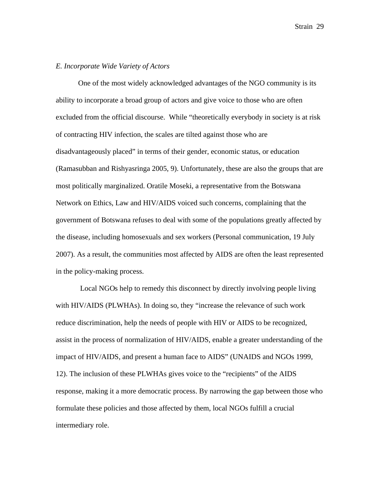#### *E. Incorporate Wide Variety of Actors*

One of the most widely acknowledged advantages of the NGO community is its ability to incorporate a broad group of actors and give voice to those who are often excluded from the official discourse. While "theoretically everybody in society is at risk of contracting HIV infection, the scales are tilted against those who are disadvantageously placed" in terms of their gender, economic status, or education (Ramasubban and Rishyasringa 2005, 9). Unfortunately, these are also the groups that are most politically marginalized. Oratile Moseki, a representative from the Botswana Network on Ethics, Law and HIV/AIDS voiced such concerns, complaining that the government of Botswana refuses to deal with some of the populations greatly affected by the disease, including homosexuals and sex workers (Personal communication, 19 July 2007). As a result, the communities most affected by AIDS are often the least represented in the policy-making process.

Local NGOs help to remedy this disconnect by directly involving people living with HIV/AIDS (PLWHAs). In doing so, they "increase the relevance of such work reduce discrimination, help the needs of people with HIV or AIDS to be recognized, assist in the process of normalization of HIV/AIDS, enable a greater understanding of the impact of HIV/AIDS, and present a human face to AIDS" (UNAIDS and NGOs 1999, 12). The inclusion of these PLWHAs gives voice to the "recipients" of the AIDS response, making it a more democratic process. By narrowing the gap between those who formulate these policies and those affected by them, local NGOs fulfill a crucial intermediary role.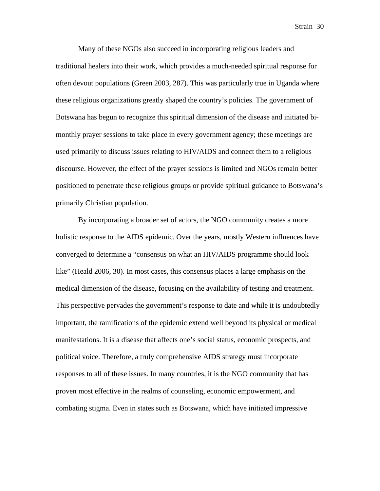Many of these NGOs also succeed in incorporating religious leaders and traditional healers into their work, which provides a much-needed spiritual response for often devout populations (Green 2003, 287). This was particularly true in Uganda where these religious organizations greatly shaped the country's policies. The government of Botswana has begun to recognize this spiritual dimension of the disease and initiated bimonthly prayer sessions to take place in every government agency; these meetings are used primarily to discuss issues relating to HIV/AIDS and connect them to a religious discourse. However, the effect of the prayer sessions is limited and NGOs remain better positioned to penetrate these religious groups or provide spiritual guidance to Botswana's primarily Christian population.

By incorporating a broader set of actors, the NGO community creates a more holistic response to the AIDS epidemic. Over the years, mostly Western influences have converged to determine a "consensus on what an HIV/AIDS programme should look like" (Heald 2006, 30). In most cases, this consensus places a large emphasis on the medical dimension of the disease, focusing on the availability of testing and treatment. This perspective pervades the government's response to date and while it is undoubtedly important, the ramifications of the epidemic extend well beyond its physical or medical manifestations. It is a disease that affects one's social status, economic prospects, and political voice. Therefore, a truly comprehensive AIDS strategy must incorporate responses to all of these issues. In many countries, it is the NGO community that has proven most effective in the realms of counseling, economic empowerment, and combating stigma. Even in states such as Botswana, which have initiated impressive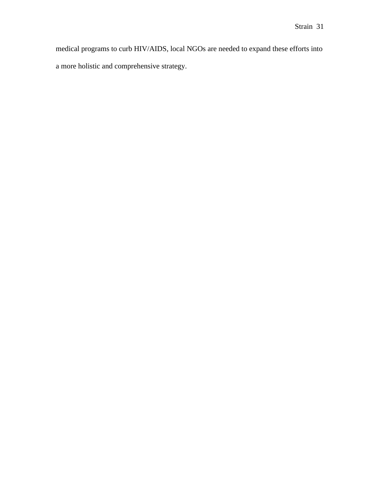medical programs to curb HIV/AIDS, local NGOs are needed to expand these efforts into a more holistic and comprehensive strategy.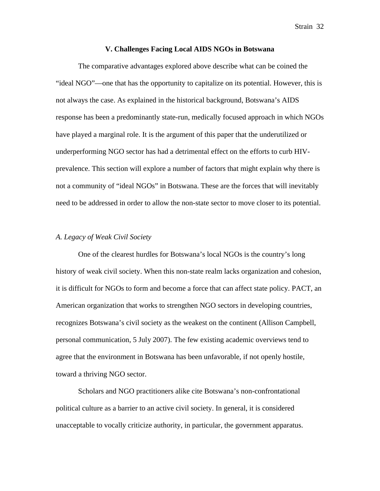#### **V. Challenges Facing Local AIDS NGOs in Botswana**

The comparative advantages explored above describe what can be coined the "ideal NGO"—one that has the opportunity to capitalize on its potential. However, this is not always the case. As explained in the historical background, Botswana's AIDS response has been a predominantly state-run, medically focused approach in which NGOs have played a marginal role. It is the argument of this paper that the underutilized or underperforming NGO sector has had a detrimental effect on the efforts to curb HIVprevalence. This section will explore a number of factors that might explain why there is not a community of "ideal NGOs" in Botswana. These are the forces that will inevitably need to be addressed in order to allow the non-state sector to move closer to its potential.

#### *A. Legacy of Weak Civil Society*

One of the clearest hurdles for Botswana's local NGOs is the country's long history of weak civil society. When this non-state realm lacks organization and cohesion, it is difficult for NGOs to form and become a force that can affect state policy. PACT, an American organization that works to strengthen NGO sectors in developing countries, recognizes Botswana's civil society as the weakest on the continent (Allison Campbell, personal communication, 5 July 2007). The few existing academic overviews tend to agree that the environment in Botswana has been unfavorable, if not openly hostile, toward a thriving NGO sector.

Scholars and NGO practitioners alike cite Botswana's non-confrontational political culture as a barrier to an active civil society. In general, it is considered unacceptable to vocally criticize authority, in particular, the government apparatus.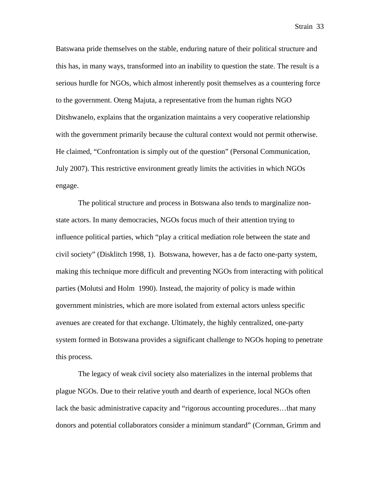Batswana pride themselves on the stable, enduring nature of their political structure and this has, in many ways, transformed into an inability to question the state. The result is a serious hurdle for NGOs, which almost inherently posit themselves as a countering force to the government. Oteng Majuta, a representative from the human rights NGO Ditshwanelo, explains that the organization maintains a very cooperative relationship with the government primarily because the cultural context would not permit otherwise. He claimed, "Confrontation is simply out of the question" (Personal Communication, July 2007). This restrictive environment greatly limits the activities in which NGOs engage.

The political structure and process in Botswana also tends to marginalize nonstate actors. In many democracies, NGOs focus much of their attention trying to influence political parties, which "play a critical mediation role between the state and civil society" (Disklitch 1998, 1). Botswana, however, has a de facto one-party system, making this technique more difficult and preventing NGOs from interacting with political parties (Molutsi and Holm 1990). Instead, the majority of policy is made within government ministries, which are more isolated from external actors unless specific avenues are created for that exchange. Ultimately, the highly centralized, one-party system formed in Botswana provides a significant challenge to NGOs hoping to penetrate this process.

The legacy of weak civil society also materializes in the internal problems that plague NGOs. Due to their relative youth and dearth of experience, local NGOs often lack the basic administrative capacity and "rigorous accounting procedures…that many donors and potential collaborators consider a minimum standard" (Cornman, Grimm and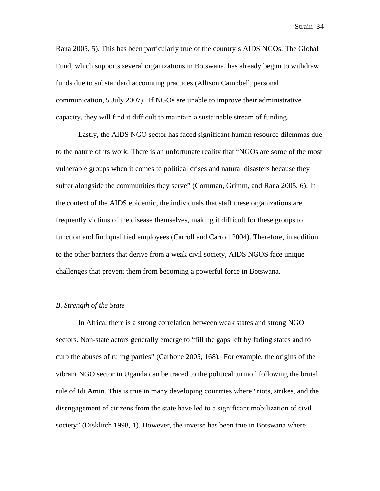Rana 2005, 5). This has been particularly true of the country's AIDS NGOs. The Global Fund, which supports several organizations in Botswana, has already begun to withdraw funds due to substandard accounting practices (Allison Campbell, personal communication, 5 July 2007). If NGOs are unable to improve their administrative capacity, they will find it difficult to maintain a sustainable stream of funding.

Lastly, the AIDS NGO sector has faced significant human resource dilemmas due to the nature of its work. There is an unfortunate reality that "NGOs are some of the most vulnerable groups when it comes to political crises and natural disasters because they suffer alongside the communities they serve" (Cornman, Grimm, and Rana 2005, 6). In the context of the AIDS epidemic, the individuals that staff these organizations are frequently victims of the disease themselves, making it difficult for these groups to function and find qualified employees (Carroll and Carroll 2004). Therefore, in addition to the other barriers that derive from a weak civil society, AIDS NGOS face unique challenges that prevent them from becoming a powerful force in Botswana.

#### *B. Strength of the State*

In Africa, there is a strong correlation between weak states and strong NGO sectors. Non-state actors generally emerge to "fill the gaps left by fading states and to curb the abuses of ruling parties" (Carbone 2005, 168). For example, the origins of the vibrant NGO sector in Uganda can be traced to the political turmoil following the brutal rule of Idi Amin. This is true in many developing countries where "riots, strikes, and the disengagement of citizens from the state have led to a significant mobilization of civil society" (Disklitch 1998, 1). However, the inverse has been true in Botswana where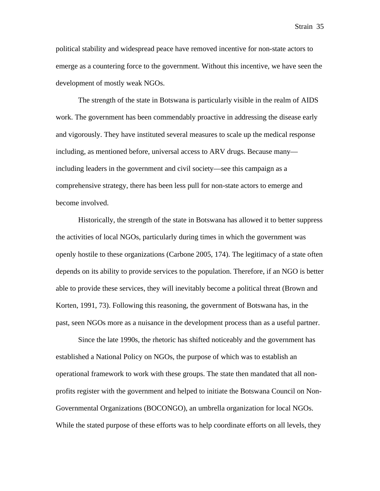political stability and widespread peace have removed incentive for non-state actors to emerge as a countering force to the government. Without this incentive, we have seen the development of mostly weak NGOs.

The strength of the state in Botswana is particularly visible in the realm of AIDS work. The government has been commendably proactive in addressing the disease early and vigorously. They have instituted several measures to scale up the medical response including, as mentioned before, universal access to ARV drugs. Because many including leaders in the government and civil society—see this campaign as a comprehensive strategy, there has been less pull for non-state actors to emerge and become involved.

Historically, the strength of the state in Botswana has allowed it to better suppress the activities of local NGOs, particularly during times in which the government was openly hostile to these organizations (Carbone 2005, 174). The legitimacy of a state often depends on its ability to provide services to the population. Therefore, if an NGO is better able to provide these services, they will inevitably become a political threat (Brown and Korten, 1991, 73). Following this reasoning, the government of Botswana has, in the past, seen NGOs more as a nuisance in the development process than as a useful partner.

Since the late 1990s, the rhetoric has shifted noticeably and the government has established a National Policy on NGOs, the purpose of which was to establish an operational framework to work with these groups. The state then mandated that all nonprofits register with the government and helped to initiate the Botswana Council on Non-Governmental Organizations (BOCONGO), an umbrella organization for local NGOs. While the stated purpose of these efforts was to help coordinate efforts on all levels, they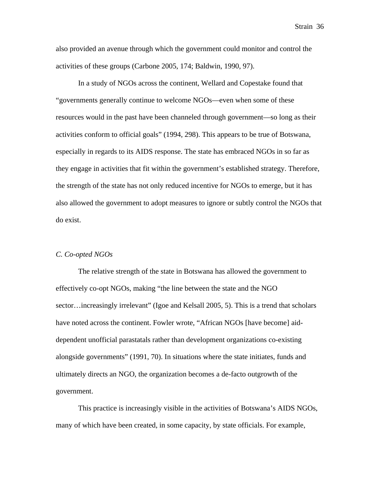also provided an avenue through which the government could monitor and control the activities of these groups (Carbone 2005, 174; Baldwin, 1990, 97).

In a study of NGOs across the continent, Wellard and Copestake found that "governments generally continue to welcome NGOs—even when some of these resources would in the past have been channeled through government—so long as their activities conform to official goals" (1994, 298). This appears to be true of Botswana, especially in regards to its AIDS response. The state has embraced NGOs in so far as they engage in activities that fit within the government's established strategy. Therefore, the strength of the state has not only reduced incentive for NGOs to emerge, but it has also allowed the government to adopt measures to ignore or subtly control the NGOs that do exist.

#### *C. Co-opted NGOs*

The relative strength of the state in Botswana has allowed the government to effectively co-opt NGOs, making "the line between the state and the NGO sector…increasingly irrelevant" (Igoe and Kelsall 2005, 5). This is a trend that scholars have noted across the continent. Fowler wrote, "African NGOs [have become] aiddependent unofficial parastatals rather than development organizations co-existing alongside governments" (1991, 70). In situations where the state initiates, funds and ultimately directs an NGO, the organization becomes a de-facto outgrowth of the government.

This practice is increasingly visible in the activities of Botswana's AIDS NGOs, many of which have been created, in some capacity, by state officials. For example,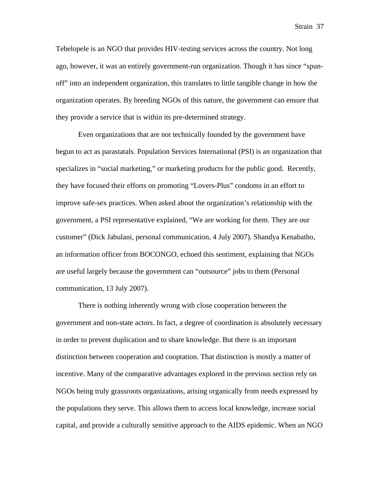Tebelopele is an NGO that provides HIV-testing services across the country. Not long ago, however, it was an entirely government-run organization. Though it has since "spunoff" into an independent organization, this translates to little tangible change in how the organization operates. By breeding NGOs of this nature, the government can ensure that they provide a service that is within its pre-determined strategy.

Even organizations that are not technically founded by the government have begun to act as parastatals. Population Services International (PSI) is an organization that specializes in "social marketing," or marketing products for the public good. Recently, they have focused their efforts on promoting "Lovers-Plus" condoms in an effort to improve safe-sex practices. When asked about the organization's relationship with the government, a PSI representative explained, "We are working for them. They are our customer" (Dick Jabulani, personal communication, 4 July 2007). Shandya Kenabatho, an information officer from BOCONGO, echoed this sentiment, explaining that NGOs are useful largely because the government can "outsource" jobs to them (Personal communication, 13 July 2007).

There is nothing inherently wrong with close cooperation between the government and non-state actors. In fact, a degree of coordination is absolutely necessary in order to prevent duplication and to share knowledge. But there is an important distinction between cooperation and cooptation. That distinction is mostly a matter of incentive. Many of the comparative advantages explored in the previous section rely on NGOs being truly grassroots organizations, arising organically from needs expressed by the populations they serve. This allows them to access local knowledge, increase social capital, and provide a culturally sensitive approach to the AIDS epidemic. When an NGO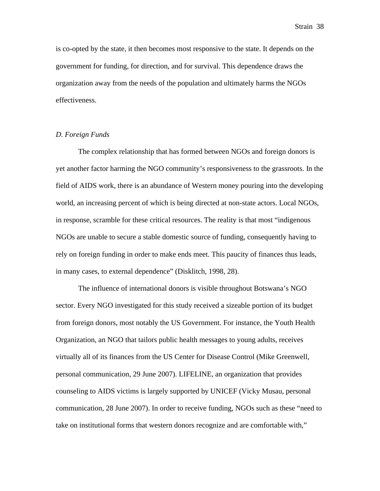is co-opted by the state, it then becomes most responsive to the state. It depends on the government for funding, for direction, and for survival. This dependence draws the organization away from the needs of the population and ultimately harms the NGOs effectiveness.

#### *D. Foreign Funds*

The complex relationship that has formed between NGOs and foreign donors is yet another factor harming the NGO community's responsiveness to the grassroots. In the field of AIDS work, there is an abundance of Western money pouring into the developing world, an increasing percent of which is being directed at non-state actors. Local NGOs, in response, scramble for these critical resources. The reality is that most "indigenous NGOs are unable to secure a stable domestic source of funding, consequently having to rely on foreign funding in order to make ends meet. This paucity of finances thus leads, in many cases, to external dependence" (Disklitch, 1998, 28).

The influence of international donors is visible throughout Botswana's NGO sector. Every NGO investigated for this study received a sizeable portion of its budget from foreign donors, most notably the US Government. For instance, the Youth Health Organization, an NGO that tailors public health messages to young adults, receives virtually all of its finances from the US Center for Disease Control (Mike Greenwell, personal communication, 29 June 2007). LIFELINE, an organization that provides counseling to AIDS victims is largely supported by UNICEF (Vicky Musau, personal communication, 28 June 2007). In order to receive funding, NGOs such as these "need to take on institutional forms that western donors recognize and are comfortable with,"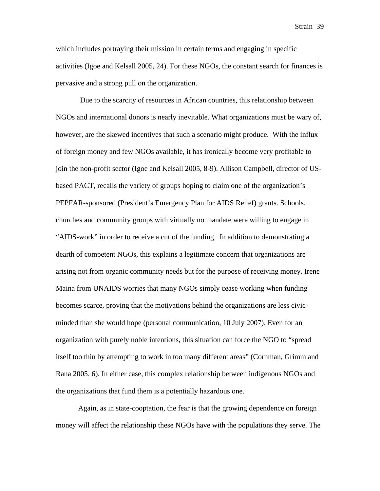which includes portraying their mission in certain terms and engaging in specific activities (Igoe and Kelsall 2005, 24). For these NGOs, the constant search for finances is pervasive and a strong pull on the organization.

 Due to the scarcity of resources in African countries, this relationship between NGOs and international donors is nearly inevitable. What organizations must be wary of, however, are the skewed incentives that such a scenario might produce. With the influx of foreign money and few NGOs available, it has ironically become very profitable to join the non-profit sector (Igoe and Kelsall 2005, 8-9). Allison Campbell, director of USbased PACT, recalls the variety of groups hoping to claim one of the organization's PEPFAR-sponsored (President's Emergency Plan for AIDS Relief) grants. Schools, churches and community groups with virtually no mandate were willing to engage in "AIDS-work" in order to receive a cut of the funding. In addition to demonstrating a dearth of competent NGOs, this explains a legitimate concern that organizations are arising not from organic community needs but for the purpose of receiving money. Irene Maina from UNAIDS worries that many NGOs simply cease working when funding becomes scarce, proving that the motivations behind the organizations are less civicminded than she would hope (personal communication, 10 July 2007). Even for an organization with purely noble intentions, this situation can force the NGO to "spread itself too thin by attempting to work in too many different areas" (Cornman, Grimm and Rana 2005, 6). In either case, this complex relationship between indigenous NGOs and the organizations that fund them is a potentially hazardous one.

Again, as in state-cooptation, the fear is that the growing dependence on foreign money will affect the relationship these NGOs have with the populations they serve. The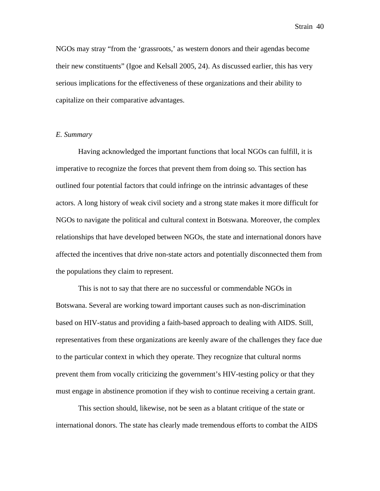NGOs may stray "from the 'grassroots,' as western donors and their agendas become their new constituents" (Igoe and Kelsall 2005, 24). As discussed earlier, this has very serious implications for the effectiveness of these organizations and their ability to capitalize on their comparative advantages.

#### *E. Summary*

Having acknowledged the important functions that local NGOs can fulfill, it is imperative to recognize the forces that prevent them from doing so. This section has outlined four potential factors that could infringe on the intrinsic advantages of these actors. A long history of weak civil society and a strong state makes it more difficult for NGOs to navigate the political and cultural context in Botswana. Moreover, the complex relationships that have developed between NGOs, the state and international donors have affected the incentives that drive non-state actors and potentially disconnected them from the populations they claim to represent.

This is not to say that there are no successful or commendable NGOs in Botswana. Several are working toward important causes such as non-discrimination based on HIV-status and providing a faith-based approach to dealing with AIDS. Still, representatives from these organizations are keenly aware of the challenges they face due to the particular context in which they operate. They recognize that cultural norms prevent them from vocally criticizing the government's HIV-testing policy or that they must engage in abstinence promotion if they wish to continue receiving a certain grant.

This section should, likewise, not be seen as a blatant critique of the state or international donors. The state has clearly made tremendous efforts to combat the AIDS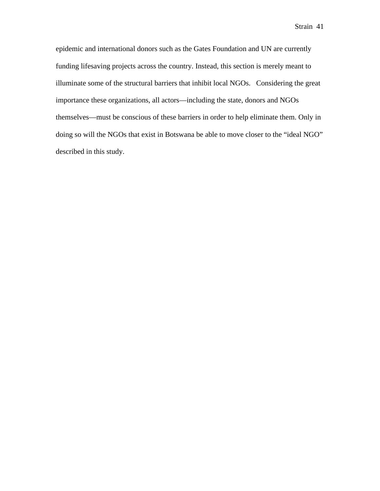epidemic and international donors such as the Gates Foundation and UN are currently funding lifesaving projects across the country. Instead, this section is merely meant to illuminate some of the structural barriers that inhibit local NGOs. Considering the great importance these organizations, all actors—including the state, donors and NGOs themselves—must be conscious of these barriers in order to help eliminate them. Only in doing so will the NGOs that exist in Botswana be able to move closer to the "ideal NGO" described in this study.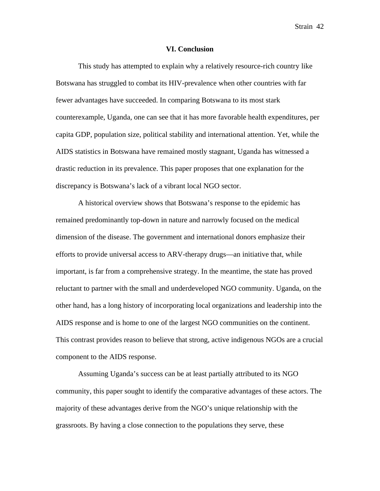#### **VI. Conclusion**

This study has attempted to explain why a relatively resource-rich country like Botswana has struggled to combat its HIV-prevalence when other countries with far fewer advantages have succeeded. In comparing Botswana to its most stark counterexample, Uganda, one can see that it has more favorable health expenditures, per capita GDP, population size, political stability and international attention. Yet, while the AIDS statistics in Botswana have remained mostly stagnant, Uganda has witnessed a drastic reduction in its prevalence. This paper proposes that one explanation for the discrepancy is Botswana's lack of a vibrant local NGO sector.

A historical overview shows that Botswana's response to the epidemic has remained predominantly top-down in nature and narrowly focused on the medical dimension of the disease. The government and international donors emphasize their efforts to provide universal access to ARV-therapy drugs—an initiative that, while important, is far from a comprehensive strategy. In the meantime, the state has proved reluctant to partner with the small and underdeveloped NGO community. Uganda, on the other hand, has a long history of incorporating local organizations and leadership into the AIDS response and is home to one of the largest NGO communities on the continent. This contrast provides reason to believe that strong, active indigenous NGOs are a crucial component to the AIDS response.

Assuming Uganda's success can be at least partially attributed to its NGO community, this paper sought to identify the comparative advantages of these actors. The majority of these advantages derive from the NGO's unique relationship with the grassroots. By having a close connection to the populations they serve, these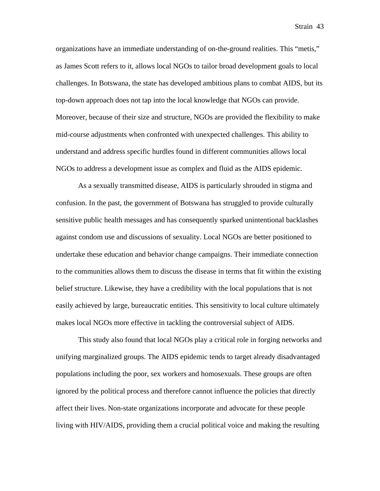organizations have an immediate understanding of on-the-ground realities. This "metis," as James Scott refers to it, allows local NGOs to tailor broad development goals to local challenges. In Botswana, the state has developed ambitious plans to combat AIDS, but its top-down approach does not tap into the local knowledge that NGOs can provide. Moreover, because of their size and structure, NGOs are provided the flexibility to make mid-course adjustments when confronted with unexpected challenges. This ability to understand and address specific hurdles found in different communities allows local NGOs to address a development issue as complex and fluid as the AIDS epidemic.

As a sexually transmitted disease, AIDS is particularly shrouded in stigma and confusion. In the past, the government of Botswana has struggled to provide culturally sensitive public health messages and has consequently sparked unintentional backlashes against condom use and discussions of sexuality. Local NGOs are better positioned to undertake these education and behavior change campaigns. Their immediate connection to the communities allows them to discuss the disease in terms that fit within the existing belief structure. Likewise, they have a credibility with the local populations that is not easily achieved by large, bureaucratic entities. This sensitivity to local culture ultimately makes local NGOs more effective in tackling the controversial subject of AIDS.

This study also found that local NGOs play a critical role in forging networks and unifying marginalized groups. The AIDS epidemic tends to target already disadvantaged populations including the poor, sex workers and homosexuals. These groups are often ignored by the political process and therefore cannot influence the policies that directly affect their lives. Non-state organizations incorporate and advocate for these people living with HIV/AIDS, providing them a crucial political voice and making the resulting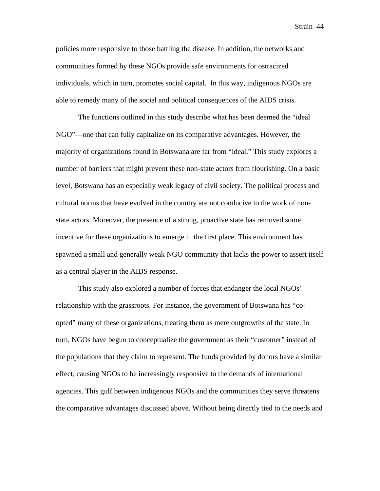policies more responsive to those battling the disease. In addition, the networks and communities formed by these NGOs provide safe environments for ostracized individuals, which in turn, promotes social capital. In this way, indigenous NGOs are able to remedy many of the social and political consequences of the AIDS crisis.

The functions outlined in this study describe what has been deemed the "ideal NGO"—one that can fully capitalize on its comparative advantages. However, the majority of organizations found in Botswana are far from "ideal." This study explores a number of barriers that might prevent these non-state actors from flourishing. On a basic level, Botswana has an especially weak legacy of civil society. The political process and cultural norms that have evolved in the country are not conducive to the work of nonstate actors. Moreover, the presence of a strong, proactive state has removed some incentive for these organizations to emerge in the first place. This environment has spawned a small and generally weak NGO community that lacks the power to assert itself as a central player in the AIDS response.

This study also explored a number of forces that endanger the local NGOs' relationship with the grassroots. For instance, the government of Botswana has "coopted" many of these organizations, treating them as mere outgrowths of the state. In turn, NGOs have begun to conceptualize the government as their "customer" instead of the populations that they claim to represent. The funds provided by donors have a similar effect, causing NGOs to be increasingly responsive to the demands of international agencies. This gulf between indigenous NGOs and the communities they serve threatens the comparative advantages discussed above. Without being directly tied to the needs and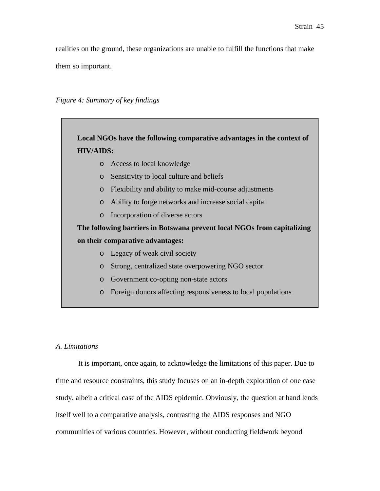realities on the ground, these organizations are unable to fulfill the functions that make them so important.

*Figure 4: Summary of key findings*



### *A. Limitations*

It is important, once again, to acknowledge the limitations of this paper. Due to time and resource constraints, this study focuses on an in-depth exploration of one case study, albeit a critical case of the AIDS epidemic. Obviously, the question at hand lends itself well to a comparative analysis, contrasting the AIDS responses and NGO communities of various countries. However, without conducting fieldwork beyond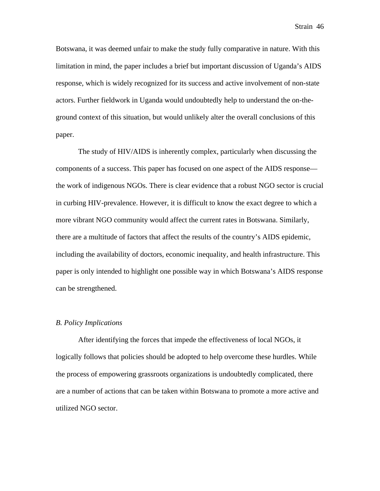Botswana, it was deemed unfair to make the study fully comparative in nature. With this limitation in mind, the paper includes a brief but important discussion of Uganda's AIDS response, which is widely recognized for its success and active involvement of non-state actors. Further fieldwork in Uganda would undoubtedly help to understand the on-theground context of this situation, but would unlikely alter the overall conclusions of this paper.

The study of HIV/AIDS is inherently complex, particularly when discussing the components of a success. This paper has focused on one aspect of the AIDS response the work of indigenous NGOs. There is clear evidence that a robust NGO sector is crucial in curbing HIV-prevalence. However, it is difficult to know the exact degree to which a more vibrant NGO community would affect the current rates in Botswana. Similarly, there are a multitude of factors that affect the results of the country's AIDS epidemic, including the availability of doctors, economic inequality, and health infrastructure. This paper is only intended to highlight one possible way in which Botswana's AIDS response can be strengthened.

#### *B. Policy Implications*

After identifying the forces that impede the effectiveness of local NGOs, it logically follows that policies should be adopted to help overcome these hurdles. While the process of empowering grassroots organizations is undoubtedly complicated, there are a number of actions that can be taken within Botswana to promote a more active and utilized NGO sector.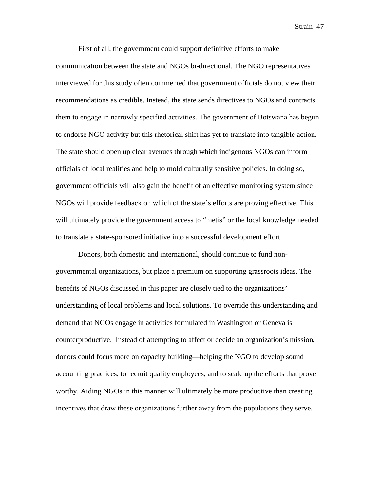First of all, the government could support definitive efforts to make communication between the state and NGOs bi-directional. The NGO representatives interviewed for this study often commented that government officials do not view their recommendations as credible. Instead, the state sends directives to NGOs and contracts them to engage in narrowly specified activities. The government of Botswana has begun to endorse NGO activity but this rhetorical shift has yet to translate into tangible action. The state should open up clear avenues through which indigenous NGOs can inform officials of local realities and help to mold culturally sensitive policies. In doing so, government officials will also gain the benefit of an effective monitoring system since NGOs will provide feedback on which of the state's efforts are proving effective. This will ultimately provide the government access to "metis" or the local knowledge needed to translate a state-sponsored initiative into a successful development effort.

Donors, both domestic and international, should continue to fund nongovernmental organizations, but place a premium on supporting grassroots ideas. The benefits of NGOs discussed in this paper are closely tied to the organizations' understanding of local problems and local solutions. To override this understanding and demand that NGOs engage in activities formulated in Washington or Geneva is counterproductive. Instead of attempting to affect or decide an organization's mission, donors could focus more on capacity building—helping the NGO to develop sound accounting practices, to recruit quality employees, and to scale up the efforts that prove worthy. Aiding NGOs in this manner will ultimately be more productive than creating incentives that draw these organizations further away from the populations they serve.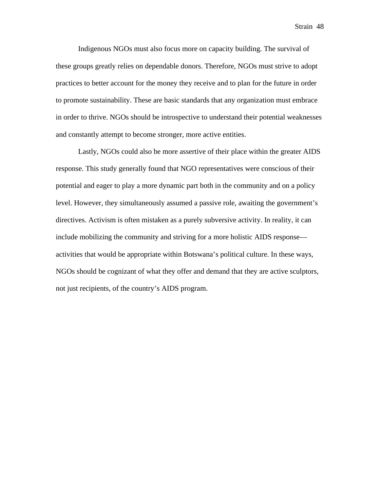Indigenous NGOs must also focus more on capacity building. The survival of these groups greatly relies on dependable donors. Therefore, NGOs must strive to adopt practices to better account for the money they receive and to plan for the future in order to promote sustainability. These are basic standards that any organization must embrace in order to thrive. NGOs should be introspective to understand their potential weaknesses and constantly attempt to become stronger, more active entities.

Lastly, NGOs could also be more assertive of their place within the greater AIDS response. This study generally found that NGO representatives were conscious of their potential and eager to play a more dynamic part both in the community and on a policy level. However, they simultaneously assumed a passive role, awaiting the government's directives. Activism is often mistaken as a purely subversive activity. In reality, it can include mobilizing the community and striving for a more holistic AIDS response activities that would be appropriate within Botswana's political culture. In these ways, NGOs should be cognizant of what they offer and demand that they are active sculptors, not just recipients, of the country's AIDS program.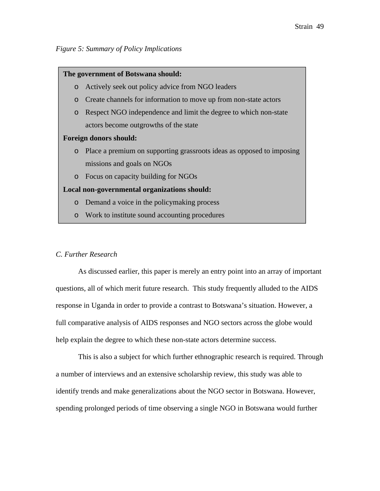#### **The government of Botswana should:**

- o Actively seek out policy advice from NGO leaders
- o Create channels for information to move up from non-state actors
- o Respect NGO independence and limit the degree to which non-state actors become outgrowths of the state

#### **Foreign donors should:**

- o Place a premium on supporting grassroots ideas as opposed to imposing missions and goals on NGOs
- o Focus on capacity building for NGOs

#### **Local non-governmental organizations should:**

- o Demand a voice in the policymaking process
- o Work to institute sound accounting procedures

#### *C. Further Research*

As discussed earlier, this paper is merely an entry point into an array of important questions, all of which merit future research. This study frequently alluded to the AIDS response in Uganda in order to provide a contrast to Botswana's situation. However, a full comparative analysis of AIDS responses and NGO sectors across the globe would help explain the degree to which these non-state actors determine success.

This is also a subject for which further ethnographic research is required. Through a number of interviews and an extensive scholarship review, this study was able to identify trends and make generalizations about the NGO sector in Botswana. However, spending prolonged periods of time observing a single NGO in Botswana would further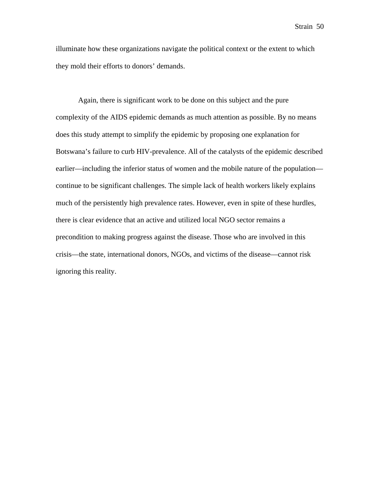illuminate how these organizations navigate the political context or the extent to which they mold their efforts to donors' demands.

Again, there is significant work to be done on this subject and the pure complexity of the AIDS epidemic demands as much attention as possible. By no means does this study attempt to simplify the epidemic by proposing one explanation for Botswana's failure to curb HIV-prevalence. All of the catalysts of the epidemic described earlier—including the inferior status of women and the mobile nature of the population continue to be significant challenges. The simple lack of health workers likely explains much of the persistently high prevalence rates. However, even in spite of these hurdles, there is clear evidence that an active and utilized local NGO sector remains a precondition to making progress against the disease. Those who are involved in this crisis—the state, international donors, NGOs, and victims of the disease—cannot risk ignoring this reality.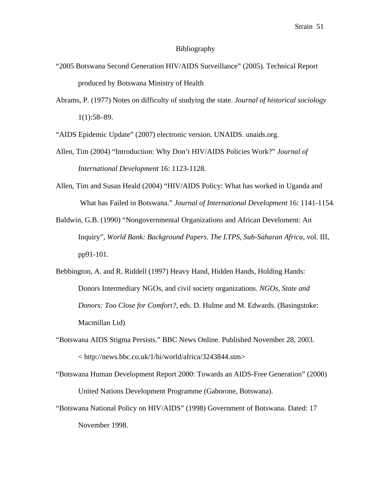#### Bibliography

- "2005 Botswana Second Generation HIV/AIDS Surveillance" (2005). Technical Report produced by Botswana Ministry of Health
- Abrams, P. (1977) Notes on difficulty of studying the state. *Journal of historical sociology* 1(1):58–89.

"AIDS Epidemic Update" (2007) electronic version. UNAIDS. unaids.org.

- Allen, Tim (2004) "Introduction: Why Don't HIV/AIDS Policies Work?" *Journal of International Development* 16: 1123-1128.
- Allen, Tim and Susan Heald (2004) "HIV/AIDS Policy: What has worked in Uganda and What has Failed in Botswana." *Journal of International Development* 16: 1141-1154.
- Baldwin, G.B. (1990) "Nongovernmental Organizations and African Develoment: An Inquiry", *World Bank: Background Papers*. *The LTPS, Sub-Saharan Africa*, vol. III, pp91-101.
- Bebbington, A. and R. Riddell (1997) Heavy Hand, Hidden Hands, Holding Hands: Donors Intermediary NGOs, and civil society organizations. *NGOs, State and Donors: Too Close for Comfort?,* eds. D. Hulme and M. Edwards. (Basingstoke: Macmillan Ltd)
- "Botswana AIDS Stigma Persists." BBC News Online. Published November 28, 2003. < http://news.bbc.co.uk/1/hi/world/africa/3243844.stm>
- "Botswana Human Development Report 2000: Towards an AIDS-Free Generation" (2000) United Nations Development Programme (Gaborone, Botswana).
- "Botswana National Policy on HIV/AIDS" (1998) Government of Botswana. Dated: 17 November 1998.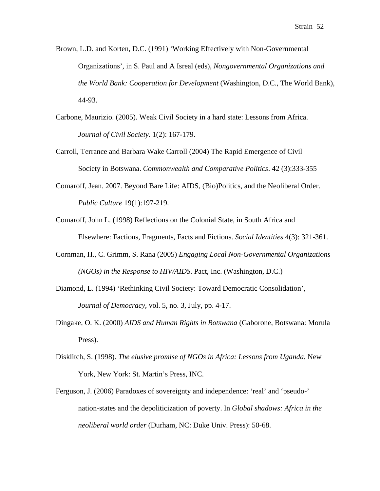Brown, L.D. and Korten, D.C. (1991) 'Working Effectively with Non-Governmental Organizations', in S. Paul and A Isreal (eds), *Nongovernmental Organizations and the World Bank: Cooperation for Development* (Washington, D.C., The World Bank), 44-93.

- Carbone, Maurizio. (2005). Weak Civil Society in a hard state: Lessons from Africa. *Journal of Civil Society*. 1(2): 167-179.
- Carroll, Terrance and Barbara Wake Carroll (2004) The Rapid Emergence of Civil Society in Botswana. *Commonwealth and Comparative Politics*. 42 (3):333-355
- Comaroff, Jean. 2007. Beyond Bare Life: AIDS, (Bio)Politics, and the Neoliberal Order. *Public Culture* 19(1):197-219.
- Comaroff, John L. (1998) Reflections on the Colonial State, in South Africa and Elsewhere: Factions, Fragments, Facts and Fictions. *Social Identities* 4(3): 321-361.
- Cornman, H., C. Grimm, S. Rana (2005) *Engaging Local Non-Governmental Organizations (NGOs) in the Response to HIV/AIDS*. Pact, Inc. (Washington, D.C.)
- Diamond, L. (1994) 'Rethinking Civil Society: Toward Democratic Consolidation', *Journal of Democracy*, vol. 5, no. 3, July, pp. 4-17.
- Dingake, O. K. (2000) *AIDS and Human Rights in Botswana* (Gaborone, Botswana: Morula Press).
- Disklitch, S. (1998). *The elusive promise of NGOs in Africa: Lessons from Uganda.* New York, New York: St. Martin's Press, INC.
- Ferguson, J. (2006) Paradoxes of sovereignty and independence: 'real' and 'pseudo-' nation-states and the depoliticization of poverty. In *Global shadows: Africa in the neoliberal world order* (Durham, NC: Duke Univ. Press): 50-68.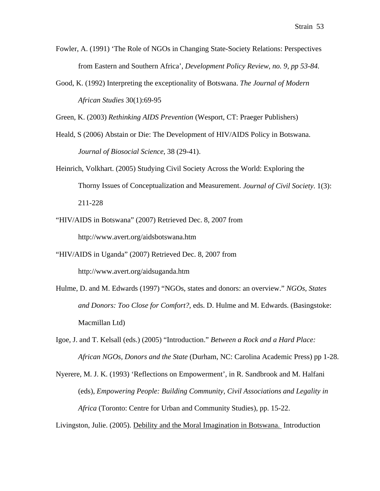- Fowler, A. (1991) 'The Role of NGOs in Changing State-Society Relations: Perspectives from Eastern and Southern Africa', *Development Policy Review, no. 9, pp 53-84.*
- Good, K. (1992) Interpreting the exceptionality of Botswana. *The Journal of Modern African Studies* 30(1):69-95

Green, K. (2003) *Rethinking AIDS Prevention* (Wesport, CT: Praeger Publishers)

- Heald, S (2006) Abstain or Die: The Development of HIV/AIDS Policy in Botswana. *Journal of Biosocial Science*, 38 (29-41).
- Heinrich, Volkhart. (2005) Studying Civil Society Across the World: Exploring the Thorny Issues of Conceptualization and Measurement. *Journal of Civil Society*. 1(3): 211-228
- "HIV/AIDS in Botswana" (2007) Retrieved Dec. 8, 2007 from http://www.avert.org/aidsbotswana.htm
- "HIV/AIDS in Uganda" (2007) Retrieved Dec. 8, 2007 from http://www.avert.org/aidsuganda.htm
- Hulme, D. and M. Edwards (1997) "NGOs, states and donors: an overview." *NGOs, States and Donors: Too Close for Comfort?,* eds. D. Hulme and M. Edwards. (Basingstoke: Macmillan Ltd)
- Igoe, J. and T. Kelsall (eds.) (2005) "Introduction." *Between a Rock and a Hard Place: African NGOs, Donors and the State* (Durham, NC: Carolina Academic Press) pp 1-28.
- Nyerere, M. J. K. (1993) 'Reflections on Empowerment', in R. Sandbrook and M. Halfani (eds), *Empowering People: Building Community, Civil Associations and Legality in Africa* (Toronto: Centre for Urban and Community Studies), pp. 15-22.

Livingston, Julie. (2005). Debility and the Moral Imagination in Botswana. Introduction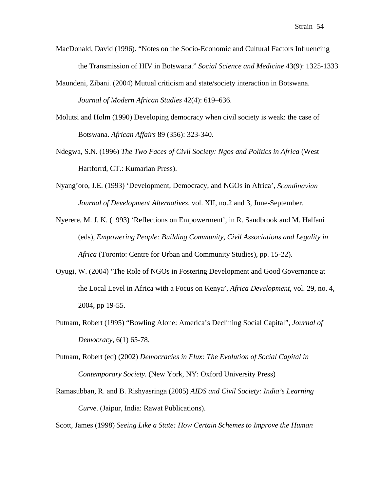- MacDonald, David (1996). "Notes on the Socio-Economic and Cultural Factors Influencing the Transmission of HIV in Botswana." *Social Science and Medicine* 43(9): 1325-1333
- Maundeni, Zibani. (2004) Mutual criticism and state/society interaction in Botswana. *Journal of Modern African Studies* 42(4): 619–636.
- Molutsi and Holm (1990) Developing democracy when civil society is weak: the case of Botswana. *African Affairs* 89 (356): 323-340.
- Ndegwa, S.N. (1996) *The Two Faces of Civil Society: Ngos and Politics in Africa* (West Hartforrd, CT.: Kumarian Press).
- Nyang'oro, J.E. (1993) 'Development, Democracy, and NGOs in Africa', *Scandinavian Journal of Development Alternatives*, vol. XII, no.2 and 3, June-September.
- Nyerere, M. J. K. (1993) 'Reflections on Empowerment', in R. Sandbrook and M. Halfani (eds), *Empowering People: Building Community, Civil Associations and Legality in Africa* (Toronto: Centre for Urban and Community Studies), pp. 15-22).
- Oyugi, W. (2004) 'The Role of NGOs in Fostering Development and Good Governance at the Local Level in Africa with a Focus on Kenya', *Africa Development*, vol. 29, no. 4, 2004, pp 19-55.
- Putnam, Robert (1995) "Bowling Alone: America's Declining Social Capital", *Journal of Democracy*, 6(1) 65-78.
- Putnam, Robert (ed) (2002) *Democracies in Flux: The Evolution of Social Capital in Contemporary Society.* (New York, NY: Oxford University Press)
- Ramasubban, R. and B. Rishyasringa (2005) *AIDS and Civil Society: India's Learning Curve*. (Jaipur, India: Rawat Publications).

Scott, James (1998) *Seeing Like a State: How Certain Schemes to Improve the Human*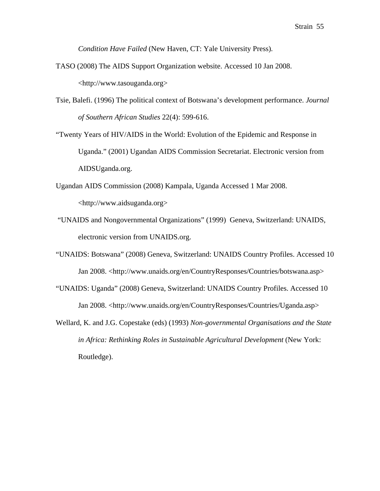*Condition Have Failed* (New Haven, CT: Yale University Press).

- TASO (2008) The AIDS Support Organization website. Accessed 10 Jan 2008. <http://www.tasouganda.org>
- Tsie, Balefi. (1996) The political context of Botswana's development performance. *Journal of Southern African Studies* 22(4): 599-616.
- "Twenty Years of HIV/AIDS in the World: Evolution of the Epidemic and Response in Uganda." (2001) Ugandan AIDS Commission Secretariat. Electronic version from AIDSUganda.org.
- Ugandan AIDS Commission (2008) Kampala, Uganda Accessed 1 Mar 2008. <http://www.aidsuganda.org>
- "UNAIDS and Nongovernmental Organizations" (1999) Geneva, Switzerland: UNAIDS, electronic version from UNAIDS.org.
- "UNAIDS: Botswana" (2008) Geneva, Switzerland: UNAIDS Country Profiles. Accessed 10 Jan 2008. <http://www.unaids.org/en/CountryResponses/Countries/botswana.asp>
- "UNAIDS: Uganda" (2008) Geneva, Switzerland: UNAIDS Country Profiles. Accessed 10 Jan 2008. <http://www.unaids.org/en/CountryResponses/Countries/Uganda.asp>
- Wellard, K. and J.G. Copestake (eds) (1993) *Non-governmental Organisations and the State*  in Africa: Rethinking Roles in Sustainable Agricultural Development (New York: Routledge).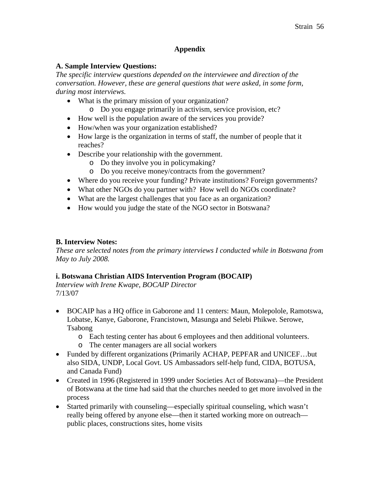# **Appendix**

# **A. Sample Interview Questions:**

*The specific interview questions depended on the interviewee and direction of the conversation. However, these are general questions that were asked, in some form, during most interviews.* 

- What is the primary mission of your organization?
	- o Do you engage primarily in activism, service provision, etc?
- How well is the population aware of the services you provide?
- How/when was your organization established?
- How large is the organization in terms of staff, the number of people that it reaches?
- Describe your relationship with the government.
	- o Do they involve you in policymaking?
	- o Do you receive money/contracts from the government?
- Where do you receive your funding? Private institutions? Foreign governments?
- What other NGOs do you partner with? How well do NGOs coordinate?
- What are the largest challenges that you face as an organization?
- How would you judge the state of the NGO sector in Botswana?

# **B. Interview Notes:**

*These are selected notes from the primary interviews I conducted while in Botswana from May to July 2008.* 

# **i. Botswana Christian AIDS Intervention Program (BOCAIP)**

*Interview with Irene Kwape, BOCAIP Director* 7/13/07

- BOCAIP has a HQ office in Gaborone and 11 centers: Maun, Molepolole, Ramotswa, Lobatse, Kanye, Gaborone, Francistown, Masunga and Selebi Phikwe. Serowe, Tsabong
	- o Each testing center has about 6 employees and then additional volunteers.
	- o The center managers are all social workers
- Funded by different organizations (Primarily ACHAP, PEPFAR and UNICEF…but also SIDA, UNDP, Local Govt. US Ambassadors self-help fund, CIDA, BOTUSA, and Canada Fund)
- Created in 1996 (Registered in 1999 under Societies Act of Botswana)—the President of Botswana at the time had said that the churches needed to get more involved in the process
- Started primarily with counseling—especially spiritual counseling, which wasn't really being offered by anyone else—then it started working more on outreach public places, constructions sites, home visits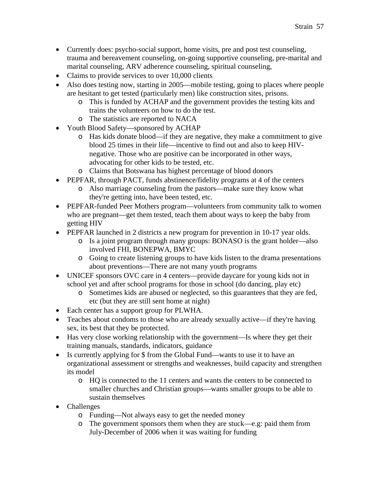- Currently does: psycho-social support, home visits, pre and post test counseling, trauma and bereavement counseling, on-going supportive counseling, pre-marital and marital counseling, ARV adherence counseling, spiritual counseling,
- Claims to provide services to over 10,000 clients
- Also does testing now, starting in 2005—mobile testing, going to places where people are hesitant to get tested (particularly men) like construction sites, prisons.
	- o This is funded by ACHAP and the government provides the testing kits and trains the volunteers on how to do the test.
	- o The statistics are reported to NACA
- Youth Blood Safety—sponsored by ACHAP
	- o Has kids donate blood—if they are negative, they make a commitment to give blood 25 times in their life—incentive to find out and also to keep HIVnegative. Those who are positive can be incorporated in other ways, advocating for other kids to be tested, etc.
	- o Claims that Botswana has highest percentage of blood donors
- PEPFAR, through PACT, funds abstinence/fidelity programs at 4 of the centers
	- o Also marriage counseling from the pastors—make sure they know what they're getting into, have been tested, etc.
- PEPFAR-funded Peer Mothers program—volunteers from community talk to women who are pregnant—get them tested, teach them about ways to keep the baby from getting HIV
- PEPFAR launched in 2 districts a new program for prevention in 10-17 year olds.
	- o Is a joint program through many groups: BONASO is the grant holder—also involved FHI, BONEPWA, BMYC
	- o Going to create listening groups to have kids listen to the drama presentations about preventions—There are not many youth programs
- UNICEF sponsors OVC care in 4 centers—provide daycare for young kids not in school yet and after school programs for those in school (do dancing, play etc)
	- o Sometimes kids are abused or neglected, so this guarantees that they are fed, etc (but they are still sent home at night)
- Each center has a support group for PLWHA.
- Teaches about condoms to those who are already sexually active—if they're having sex, its best that they be protected.
- Has very close working relationship with the government—Is where they get their training manuals, standards, indicators, guidance
- Is currently applying for \$ from the Global Fund—wants to use it to have an organizational assessment or strengths and weaknesses, build capacity and strengthen its model
	- o HQ is connected to the 11 centers and wants the centers to be connected to smaller churches and Christian groups—wants smaller groups to be able to sustain themselves
- Challenges
	- o Funding—Not always easy to get the needed money
	- o The government sponsors them when they are stuck—e.g: paid them from July-December of 2006 when it was waiting for funding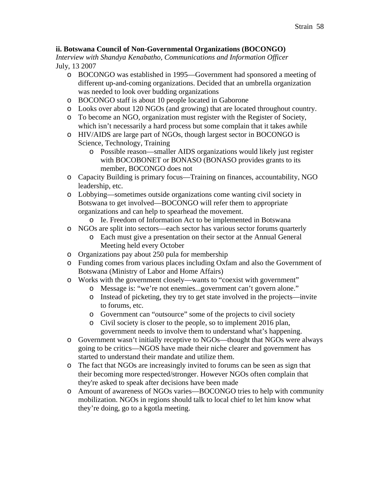# **ii. Botswana Council of Non-Governmental Organizations (BOCONGO)**

*Interview with Shandya Kenabatho, Communications and Information Officer* July, 13 2007

- o BOCONGO was established in 1995—Government had sponsored a meeting of different up-and-coming organizations. Decided that an umbrella organization was needed to look over budding organizations
- o BOCONGO staff is about 10 people located in Gaborone
- o Looks over about 120 NGOs (and growing) that are located throughout country.
- o To become an NGO, organization must register with the Register of Society, which isn't necessarily a hard process but some complain that it takes awhile
- o HIV/AIDS are large part of NGOs, though largest sector in BOCONGO is Science, Technology, Training
	- o Possible reason—smaller AIDS organizations would likely just register with BOCOBONET or BONASO (BONASO provides grants to its member, BOCONGO does not
- o Capacity Building is primary focus—Training on finances, accountability, NGO leadership, etc.
- o Lobbying—sometimes outside organizations come wanting civil society in Botswana to get involved—BOCONGO will refer them to appropriate organizations and can help to spearhead the movement.
	- o Ie. Freedom of Information Act to be implemented in Botswana
- o NGOs are split into sectors—each sector has various sector forums quarterly
	- o Each must give a presentation on their sector at the Annual General Meeting held every October
- o Organizations pay about 250 pula for membership
- o Funding comes from various places including Oxfam and also the Government of Botswana (Ministry of Labor and Home Affairs)
- o Works with the government closely—wants to "coexist with government"
	- o Message is: "we're not enemies...government can't govern alone."
	- o Instead of picketing, they try to get state involved in the projects—invite to forums, etc.
	- o Government can "outsource" some of the projects to civil society
	- o Civil society is closer to the people, so to implement 2016 plan, government needs to involve them to understand what's happening.
- o Government wasn't initially receptive to NGOs—thought that NGOs were always going to be critics—NGOS have made their niche clearer and government has started to understand their mandate and utilize them.
- o The fact that NGOs are increasingly invited to forums can be seen as sign that their becoming more respected/stronger. However NGOs often complain that they're asked to speak after decisions have been made
- o Amount of awareness of NGOs varies—BOCONGO tries to help with community mobilization. NGOs in regions should talk to local chief to let him know what they're doing, go to a kgotla meeting.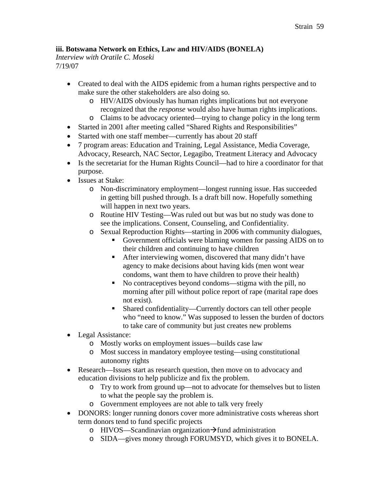# **iii. Botswana Network on Ethics, Law and HIV/AIDS (BONELA)**

*Interview with Oratile C. Moseki* 7/19/07

- Created to deal with the AIDS epidemic from a human rights perspective and to make sure the other stakeholders are also doing so.
	- o HIV/AIDS obviously has human rights implications but not everyone recognized that the *response* would also have human rights implications.
	- o Claims to be advocacy oriented—trying to change policy in the long term
- Started in 2001 after meeting called "Shared Rights and Responsibilities"
- Started with one staff member—currently has about 20 staff
- 7 program areas: Education and Training, Legal Assistance, Media Coverage, Advocacy, Research, NAC Sector, Legagibo, Treatment Literacy and Advocacy
- Is the secretariat for the Human Rights Council—had to hire a coordinator for that purpose.
- Issues at Stake:
	- o Non-discriminatory employment—longest running issue. Has succeeded in getting bill pushed through. Is a draft bill now. Hopefully something will happen in next two years.
	- o Routine HIV Testing—Was ruled out but was but no study was done to see the implications. Consent, Counseling, and Confidentiality.
	- o Sexual Reproduction Rights—starting in 2006 with community dialogues,
		- Government officials were blaming women for passing AIDS on to their children and continuing to have children
		- After interviewing women, discovered that many didn't have agency to make decisions about having kids (men wont wear condoms, want them to have children to prove their health)
		- No contraceptives beyond condoms—stigma with the pill, no morning after pill without police report of rape (marital rape does not exist).
		- Shared confidentiality—Currently doctors can tell other people who "need to know." Was supposed to lessen the burden of doctors to take care of community but just creates new problems
- Legal Assistance:
	- o Mostly works on employment issues—builds case law
	- o Most success in mandatory employee testing—using constitutional autonomy rights
- Research—Issues start as research question, then move on to advocacy and education divisions to help publicize and fix the problem.
	- o Try to work from ground up—not to advocate for themselves but to listen to what the people say the problem is.
	- o Government employees are not able to talk very freely
- DONORS: longer running donors cover more administrative costs whereas short term donors tend to fund specific projects
	- o HIVOS—Scandinavian organization $\rightarrow$ fund administration
	- o SIDA—gives money through FORUMSYD, which gives it to BONELA.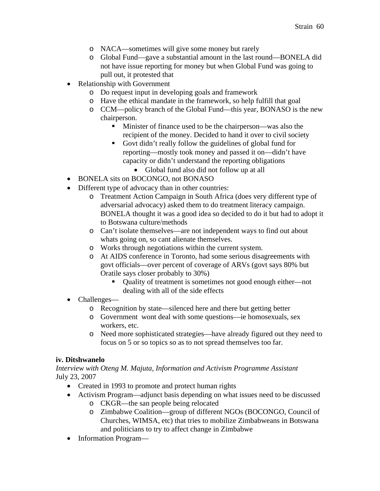- o NACA—sometimes will give some money but rarely
- o Global Fund—gave a substantial amount in the last round—BONELA did not have issue reporting for money but when Global Fund was going to pull out, it protested that
- Relationship with Government
	- o Do request input in developing goals and framework
	- o Have the ethical mandate in the framework, so help fulfill that goal
	- o CCM—policy branch of the Global Fund—this year, BONASO is the new chairperson.
		- Minister of finance used to be the chairperson—was also the recipient of the money. Decided to hand it over to civil society
		- Govt didn't really follow the guidelines of global fund for reporting—mostly took money and passed it on—didn't have capacity or didn't understand the reporting obligations
			- Global fund also did not follow up at all
- BONELA sits on BOCONGO, not BONASO
- Different type of advocacy than in other countries:
	- o Treatment Action Campaign in South Africa (does very different type of adversarial advocacy) asked them to do treatment literacy campaign. BONELA thought it was a good idea so decided to do it but had to adopt it to Botswana culture/methods
	- o Can't isolate themselves—are not independent ways to find out about whats going on, so cant alienate themselves.
	- o Works through negotiations within the current system.
	- o At AIDS conference in Toronto, had some serious disagreements with govt officials—over percent of coverage of ARVs (govt says 80% but Oratile says closer probably to 30%)
		- Quality of treatment is sometimes not good enough either—not dealing with all of the side effects
- Challenges
	- o Recognition by state—silenced here and there but getting better
	- o Government wont deal with some questions—ie homosexuals, sex workers, etc.
	- o Need more sophisticated strategies—have already figured out they need to focus on 5 or so topics so as to not spread themselves too far.

# **iv. Ditshwanelo**

*Interview with Oteng M. Majuta, Information and Activism Programme Assistant* July 23, 2007

- Created in 1993 to promote and protect human rights
- Activism Program—adjunct basis depending on what issues need to be discussed
	- o CKGR—the san people being relocated
	- o Zimbabwe Coalition—group of different NGOs (BOCONGO, Council of Churches, WIMSA, etc) that tries to mobilize Zimbabweans in Botswana and politicians to try to affect change in Zimbabwe
- Information Program—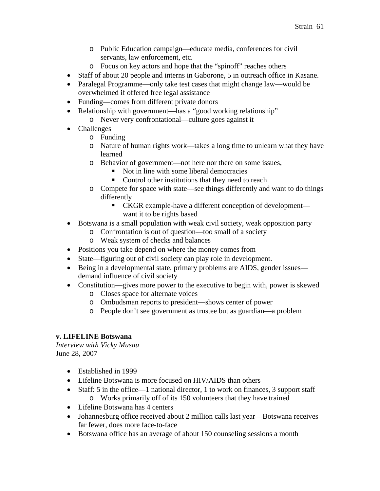- o Public Education campaign—educate media, conferences for civil servants, law enforcement, etc.
- o Focus on key actors and hope that the "spinoff" reaches others
- Staff of about 20 people and interns in Gaborone, 5 in outreach office in Kasane.
- Paralegal Programme—only take test cases that might change law—would be overwhelmed if offered free legal assistance
- Funding—comes from different private donors
- Relationship with government—has a "good working relationship"
	- o Never very confrontational—culture goes against it
- Challenges
	- o Funding
	- o Nature of human rights work—takes a long time to unlearn what they have learned
	- o Behavior of government—not here nor there on some issues,
		- Not in line with some liberal democracies
		- Control other institutions that they need to reach
	- o Compete for space with state—see things differently and want to do things differently
		- CKGR example-have a different conception of development want it to be rights based
- Botswana is a small population with weak civil society, weak opposition party
	- o Confrontation is out of question—too small of a society
		- o Weak system of checks and balances
- Positions you take depend on where the money comes from
- State—figuring out of civil society can play role in development.
- Being in a developmental state, primary problems are AIDS, gender issues demand influence of civil society
- Constitution—gives more power to the executive to begin with, power is skewed
	- o Closes space for alternate voices
	- o Ombudsman reports to president—shows center of power
	- o People don't see government as trustee but as guardian—a problem

# **v. LIFELINE Botswana**

*Interview with Vicky Musau* June 28, 2007

- Established in 1999
- Lifeline Botswana is more focused on HIV/AIDS than others
- Staff: 5 in the office—1 national director, 1 to work on finances, 3 support staff o Works primarily off of its 150 volunteers that they have trained
- Lifeline Botswana has 4 centers
- Johannesburg office received about 2 million calls last year—Botswana receives far fewer, does more face-to-face
- Botswana office has an average of about 150 counseling sessions a month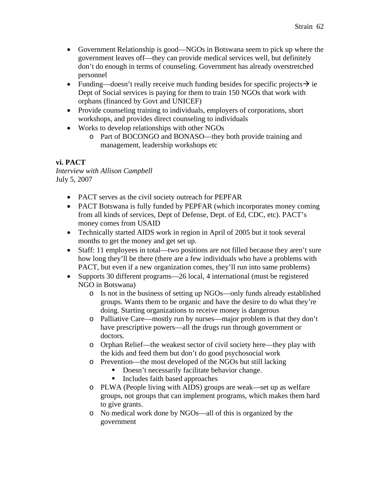- Government Relationship is good—NGOs in Botswana seem to pick up where the government leaves off—they can provide medical services well, but definitely don't do enough in terms of counseling. Government has already overstretched personnel
- Funding—doesn't really receive much funding besides for specific projects  $\rightarrow$  ie Dept of Social services is paying for them to train 150 NGOs that work with orphans (financed by Govt and UNICEF)
- Provide counseling training to individuals, employers of corporations, short workshops, and provides direct counseling to individuals
- Works to develop relationships with other NGOs
	- o Part of BOCONGO and BONASO—they both provide training and management, leadership workshops etc

# **vi. PACT**

*Interview with Allison Campbell* July 5, 2007

- PACT serves as the civil society outreach for PEPFAR
- PACT Botswana is fully funded by PEPFAR (which incorporates money coming from all kinds of services, Dept of Defense, Dept. of Ed, CDC, etc). PACT's money comes from USAID
- Technically started AIDS work in region in April of 2005 but it took several months to get the money and get set up.
- Staff: 11 employees in total—two positions are not filled because they aren't sure how long they'll be there (there are a few individuals who have a problems with PACT, but even if a new organization comes, they'll run into same problems)
- Supports 30 different programs—26 local, 4 international (must be registered NGO in Botswana)
	- o Is not in the business of setting up NGOs—only funds already established groups. Wants them to be organic and have the desire to do what they're doing. Starting organizations to receive money is dangerous
	- o Palliative Care—mostly run by nurses—major problem is that they don't have prescriptive powers—all the drugs run through government or doctors.
	- o Orphan Relief—the weakest sector of civil society here—they play with the kids and feed them but don't do good psychosocial work
	- o Prevention—the most developed of the NGOs but still lacking
		- Doesn't necessarily facilitate behavior change.
		- Includes faith based approaches
	- o PLWA (People living with AIDS) groups are weak—set up as welfare groups, not groups that can implement programs, which makes them hard to give grants.
	- o No medical work done by NGOs—all of this is organized by the government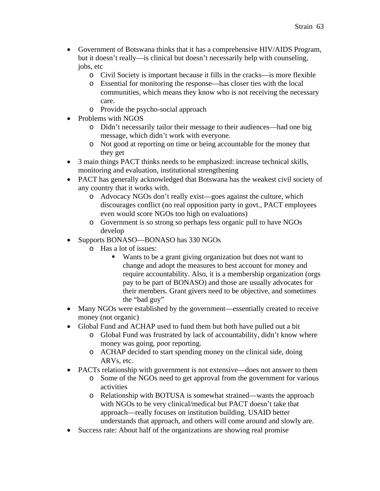- Government of Botswana thinks that it has a comprehensive HIV/AIDS Program, but it doesn't really—is clinical but doesn't necessarily help with counseling, jobs, etc
	- o Civil Society is important because it fills in the cracks—is more flexible
	- o Essential for monitoring the response—has closer ties with the local communities, which means they know who is not receiving the necessary care.
	- o Provide the psycho-social approach
- Problems with NGOS
	- o Didn't necessarily tailor their message to their audiences—had one big message, which didn't work with everyone.
	- o Not good at reporting on time or being accountable for the money that they get
- 3 main things PACT thinks needs to be emphasized: increase technical skills, monitoring and evaluation, institutional strengthening
- PACT has generally acknowledged that Botswana has the weakest civil society of any country that it works with.
	- o Advocacy NGOs don't really exist—goes against the culture, which discourages conflict (no real opposition party in govt., PACT employees even would score NGOs too high on evaluations)
	- o Government is so strong so perhaps less organic pull to have NGOs develop
- Supports BONASO—BONASO has 330 NGOs
	- o Has a lot of issues:
		- Wants to be a grant giving organization but does not want to change and adopt the measures to best account for money and require accountability. Also, it is a membership organization (orgs pay to be part of BONASO) and those are usually advocates for their members. Grant givers need to be objective, and sometimes the "bad guy"
- Many NGOs were established by the government—essentially created to receive money (not organic)
- Global Fund and ACHAP used to fund them but both have pulled out a bit
	- o Global Fund was frustrated by lack of accountability, didn't know where money was going, poor reporting.
		- o ACHAP decided to start spending money on the clinical side, doing ARVs, etc.
- PACTs relationship with government is not extensive—does not answer to them
	- o Some of the NGOs need to get approval from the government for various activities
	- o Relationship with BOTUSA is somewhat strained—wants the approach with NGOs to be very clinical/medical but PACT doesn't take that approach—really focuses on institution building. USAID better understands that approach, and others will come around and slowly are.
- Success rate: About half of the organizations are showing real promise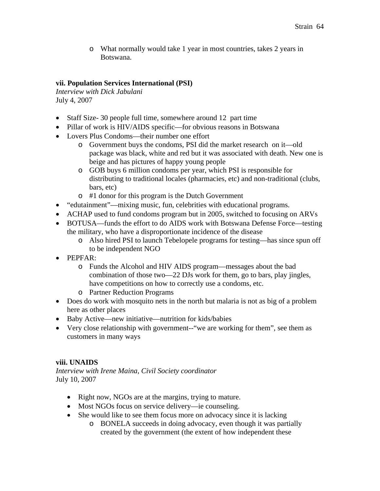o What normally would take 1 year in most countries, takes 2 years in Botswana.

# **vii. Population Services International (PSI)**

*Interview with Dick Jabulani* July 4, 2007

- Staff Size-30 people full time, somewhere around 12 part time
- Pillar of work is HIV/AIDS specific—for obvious reasons in Botswana
- Lovers Plus Condoms—their number one effort
	- o Government buys the condoms, PSI did the market research on it—old package was black, white and red but it was associated with death. New one is beige and has pictures of happy young people
	- o GOB buys 6 million condoms per year, which PSI is responsible for distributing to traditional locales (pharmacies, etc) and non-traditional (clubs, bars, etc)
	- o #1 donor for this program is the Dutch Government
- "edutainment"—mixing music, fun, celebrities with educational programs.
- ACHAP used to fund condoms program but in 2005, switched to focusing on ARVs
- BOTUSA—funds the effort to do AIDS work with Botswana Defense Force—testing the military, who have a disproportionate incidence of the disease
	- o Also hired PSI to launch Tebelopele programs for testing—has since spun off to be independent NGO
- PEPFAR:
	- o Funds the Alcohol and HIV AIDS program—messages about the bad combination of those two—22 DJs work for them, go to bars, play jingles, have competitions on how to correctly use a condoms, etc.
	- o Partner Reduction Programs
- Does do work with mosquito nets in the north but malaria is not as big of a problem here as other places
- Baby Active—new initiative—nutrition for kids/babies
- Very close relationship with government--"we are working for them", see them as customers in many ways

# **viii. UNAIDS**

*Interview with Irene Maina, Civil Society coordinator* July 10, 2007

- Right now, NGOs are at the margins, trying to mature.
- Most NGOs focus on service delivery—ie counseling.
- She would like to see them focus more on advocacy since it is lacking
	- o BONELA succeeds in doing advocacy, even though it was partially created by the government (the extent of how independent these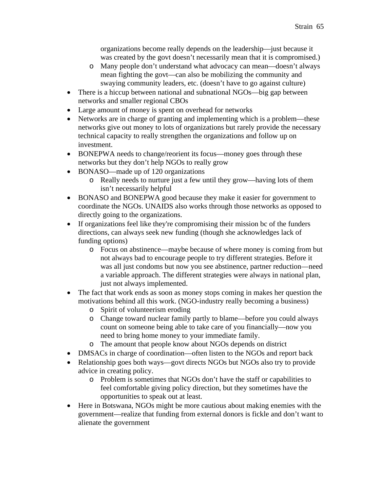organizations become really depends on the leadership—just because it was created by the govt doesn't necessarily mean that it is compromised.)

- o Many people don't understand what advocacy can mean—doesn't always mean fighting the govt—can also be mobilizing the community and swaying community leaders, etc. (doesn't have to go against culture)
- There is a hiccup between national and subnational NGOs—big gap between networks and smaller regional CBOs
- Large amount of money is spent on overhead for networks
- Networks are in charge of granting and implementing which is a problem—these networks give out money to lots of organizations but rarely provide the necessary technical capacity to really strengthen the organizations and follow up on investment.
- BONEPWA needs to change/reorient its focus—money goes through these networks but they don't help NGOs to really grow
- BONASO—made up of 120 organizations
	- o Really needs to nurture just a few until they grow—having lots of them isn't necessarily helpful
- BONASO and BONEPWA good because they make it easier for government to coordinate the NGOs. UNAIDS also works through those networks as opposed to directly going to the organizations.
- If organizations feel like they're compromising their mission bc of the funders directions, can always seek new funding (though she acknowledges lack of funding options)
	- o Focus on abstinence—maybe because of where money is coming from but not always bad to encourage people to try different strategies. Before it was all just condoms but now you see abstinence, partner reduction—need a variable approach. The different strategies were always in national plan, just not always implemented.
- The fact that work ends as soon as money stops coming in makes her question the motivations behind all this work. (NGO-industry really becoming a business)
	- o Spirit of volunteerism eroding
	- o Change toward nuclear family partly to blame—before you could always count on someone being able to take care of you financially—now you need to bring home money to your immediate family.
	- o The amount that people know about NGOs depends on district
- DMSACs in charge of coordination—often listen to the NGOs and report back
- Relationship goes both ways—govt directs NGOs but NGOs also try to provide advice in creating policy.
	- o Problem is sometimes that NGOs don't have the staff or capabilities to feel comfortable giving policy direction, but they sometimes have the opportunities to speak out at least.
- Here in Botswana, NGOs might be more cautious about making enemies with the government—realize that funding from external donors is fickle and don't want to alienate the government